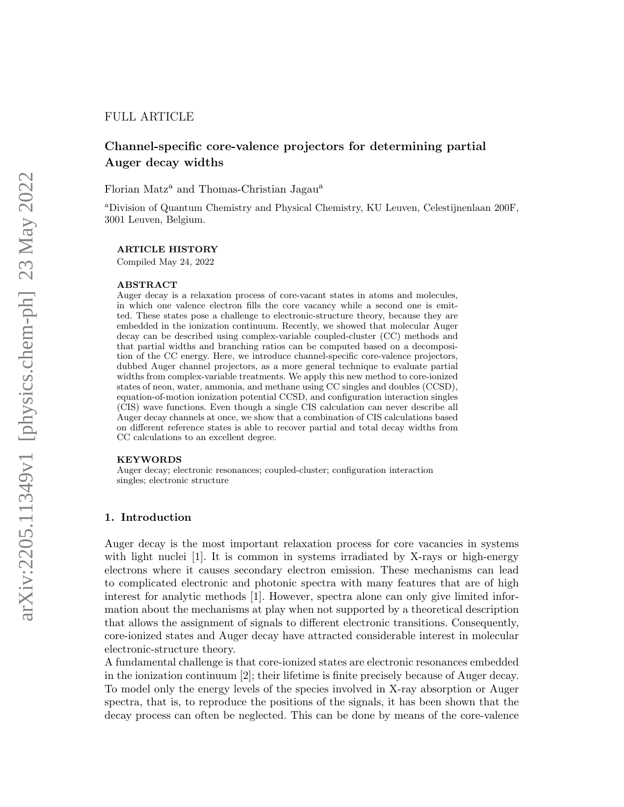## FULL ARTICLE

# Channel-specific core-valence projectors for determining partial Auger decay widths

Florian Matz<sup>a</sup> and Thomas-Christian Jagau<sup>a</sup>

<sup>a</sup>Division of Quantum Chemistry and Physical Chemistry, KU Leuven, Celestijnenlaan 200F, 3001 Leuven, Belgium.

#### ARTICLE HISTORY

Compiled May 24, 2022

#### ABSTRACT

Auger decay is a relaxation process of core-vacant states in atoms and molecules, in which one valence electron fills the core vacancy while a second one is emitted. These states pose a challenge to electronic-structure theory, because they are embedded in the ionization continuum. Recently, we showed that molecular Auger decay can be described using complex-variable coupled-cluster (CC) methods and that partial widths and branching ratios can be computed based on a decomposition of the CC energy. Here, we introduce channel-specific core-valence projectors, dubbed Auger channel projectors, as a more general technique to evaluate partial widths from complex-variable treatments. We apply this new method to core-ionized states of neon, water, ammonia, and methane using CC singles and doubles (CCSD), equation-of-motion ionization potential CCSD, and configuration interaction singles (CIS) wave functions. Even though a single CIS calculation can never describe all Auger decay channels at once, we show that a combination of CIS calculations based on different reference states is able to recover partial and total decay widths from CC calculations to an excellent degree.

#### KEYWORDS

Auger decay; electronic resonances; coupled-cluster; configuration interaction singles; electronic structure

### 1. Introduction

Auger decay is the most important relaxation process for core vacancies in systems with light nuclei [1]. It is common in systems irradiated by X-rays or high-energy electrons where it causes secondary electron emission. These mechanisms can lead to complicated electronic and photonic spectra with many features that are of high interest for analytic methods [1]. However, spectra alone can only give limited information about the mechanisms at play when not supported by a theoretical description that allows the assignment of signals to different electronic transitions. Consequently, core-ionized states and Auger decay have attracted considerable interest in molecular electronic-structure theory.

A fundamental challenge is that core-ionized states are electronic resonances embedded in the ionization continuum [2]; their lifetime is finite precisely because of Auger decay. To model only the energy levels of the species involved in X-ray absorption or Auger spectra, that is, to reproduce the positions of the signals, it has been shown that the decay process can often be neglected. This can be done by means of the core-valence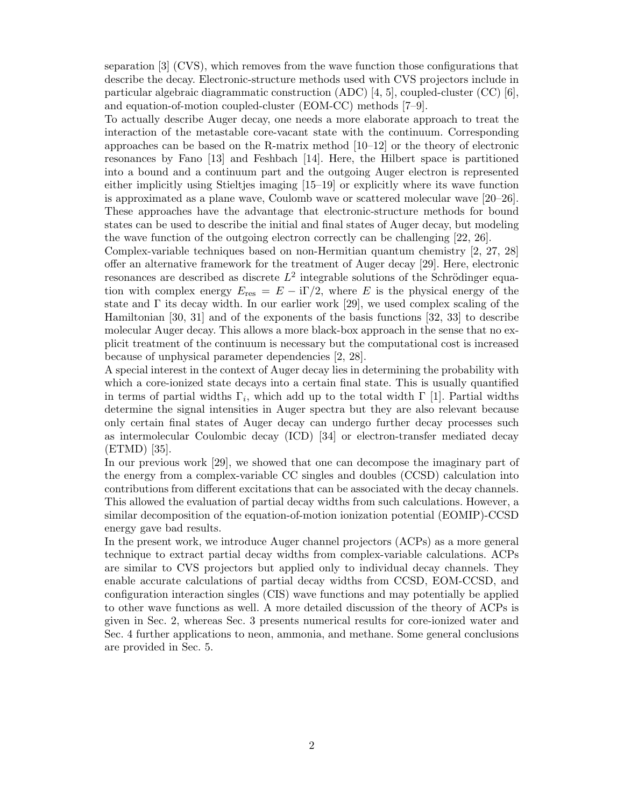separation [3] (CVS), which removes from the wave function those configurations that describe the decay. Electronic-structure methods used with CVS projectors include in particular algebraic diagrammatic construction (ADC) [4, 5], coupled-cluster (CC) [6], and equation-of-motion coupled-cluster (EOM-CC) methods [7–9].

To actually describe Auger decay, one needs a more elaborate approach to treat the interaction of the metastable core-vacant state with the continuum. Corresponding approaches can be based on the R-matrix method [10–12] or the theory of electronic resonances by Fano [13] and Feshbach [14]. Here, the Hilbert space is partitioned into a bound and a continuum part and the outgoing Auger electron is represented either implicitly using Stieltjes imaging [15–19] or explicitly where its wave function is approximated as a plane wave, Coulomb wave or scattered molecular wave [20–26]. These approaches have the advantage that electronic-structure methods for bound states can be used to describe the initial and final states of Auger decay, but modeling the wave function of the outgoing electron correctly can be challenging [22, 26].

Complex-variable techniques based on non-Hermitian quantum chemistry [2, 27, 28] offer an alternative framework for the treatment of Auger decay [29]. Here, electronic resonances are described as discrete  $L^2$  integrable solutions of the Schrödinger equation with complex energy  $E_{\text{res}} = E - i\Gamma/2$ , where E is the physical energy of the state and  $\Gamma$  its decay width. In our earlier work [29], we used complex scaling of the Hamiltonian [30, 31] and of the exponents of the basis functions [32, 33] to describe molecular Auger decay. This allows a more black-box approach in the sense that no explicit treatment of the continuum is necessary but the computational cost is increased because of unphysical parameter dependencies [2, 28].

A special interest in the context of Auger decay lies in determining the probability with which a core-ionized state decays into a certain final state. This is usually quantified in terms of partial widths  $\Gamma_i$ , which add up to the total width  $\Gamma$  [1]. Partial widths determine the signal intensities in Auger spectra but they are also relevant because only certain final states of Auger decay can undergo further decay processes such as intermolecular Coulombic decay (ICD) [34] or electron-transfer mediated decay (ETMD) [35].

In our previous work [29], we showed that one can decompose the imaginary part of the energy from a complex-variable CC singles and doubles (CCSD) calculation into contributions from different excitations that can be associated with the decay channels. This allowed the evaluation of partial decay widths from such calculations. However, a similar decomposition of the equation-of-motion ionization potential (EOMIP)-CCSD energy gave bad results.

In the present work, we introduce Auger channel projectors (ACPs) as a more general technique to extract partial decay widths from complex-variable calculations. ACPs are similar to CVS projectors but applied only to individual decay channels. They enable accurate calculations of partial decay widths from CCSD, EOM-CCSD, and configuration interaction singles (CIS) wave functions and may potentially be applied to other wave functions as well. A more detailed discussion of the theory of ACPs is given in Sec. 2, whereas Sec. 3 presents numerical results for core-ionized water and Sec. 4 further applications to neon, ammonia, and methane. Some general conclusions are provided in Sec. 5.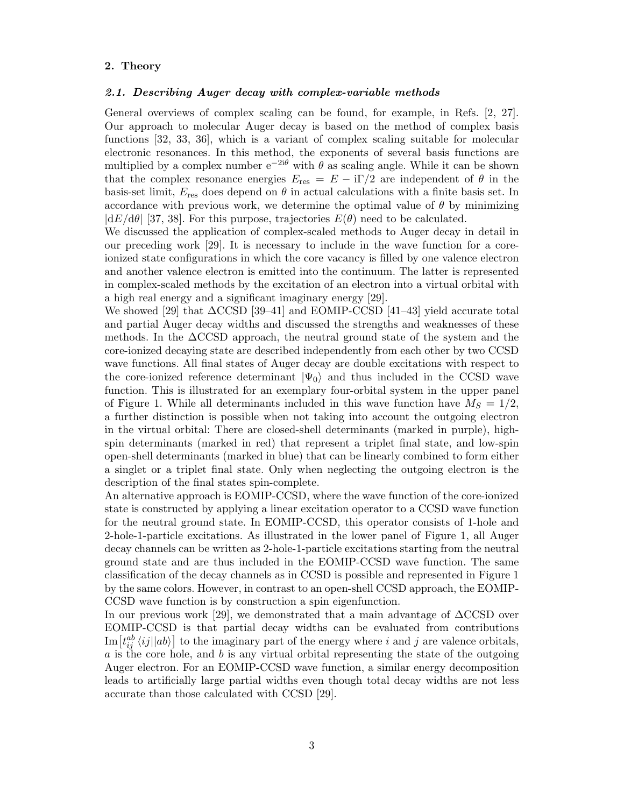## 2. Theory

#### 2.1. Describing Auger decay with complex-variable methods

General overviews of complex scaling can be found, for example, in Refs. [2, 27]. Our approach to molecular Auger decay is based on the method of complex basis functions [32, 33, 36], which is a variant of complex scaling suitable for molecular electronic resonances. In this method, the exponents of several basis functions are multiplied by a complex number  $e^{-2i\theta}$  with  $\theta$  as scaling angle. While it can be shown that the complex resonance energies  $E_{res} = E - i\Gamma/2$  are independent of  $\theta$  in the basis-set limit,  $E_{\text{res}}$  does depend on  $\theta$  in actual calculations with a finite basis set. In accordance with previous work, we determine the optimal value of  $\theta$  by minimizing  $|dE/d\theta|$  [37, 38]. For this purpose, trajectories  $E(\theta)$  need to be calculated.

We discussed the application of complex-scaled methods to Auger decay in detail in our preceding work [29]. It is necessary to include in the wave function for a coreionized state configurations in which the core vacancy is filled by one valence electron and another valence electron is emitted into the continuum. The latter is represented in complex-scaled methods by the excitation of an electron into a virtual orbital with a high real energy and a significant imaginary energy [29].

We showed [29] that ∆CCSD [39–41] and EOMIP-CCSD [41–43] yield accurate total and partial Auger decay widths and discussed the strengths and weaknesses of these methods. In the ∆CCSD approach, the neutral ground state of the system and the core-ionized decaying state are described independently from each other by two CCSD wave functions. All final states of Auger decay are double excitations with respect to the core-ionized reference determinant  $|\Psi_0\rangle$  and thus included in the CCSD wave function. This is illustrated for an exemplary four-orbital system in the upper panel of Figure 1. While all determinants included in this wave function have  $M_S = 1/2$ , a further distinction is possible when not taking into account the outgoing electron in the virtual orbital: There are closed-shell determinants (marked in purple), highspin determinants (marked in red) that represent a triplet final state, and low-spin open-shell determinants (marked in blue) that can be linearly combined to form either a singlet or a triplet final state. Only when neglecting the outgoing electron is the description of the final states spin-complete.

An alternative approach is EOMIP-CCSD, where the wave function of the core-ionized state is constructed by applying a linear excitation operator to a CCSD wave function for the neutral ground state. In EOMIP-CCSD, this operator consists of 1-hole and 2-hole-1-particle excitations. As illustrated in the lower panel of Figure 1, all Auger decay channels can be written as 2-hole-1-particle excitations starting from the neutral ground state and are thus included in the EOMIP-CCSD wave function. The same classification of the decay channels as in CCSD is possible and represented in Figure 1 by the same colors. However, in contrast to an open-shell CCSD approach, the EOMIP-CCSD wave function is by construction a spin eigenfunction.

In our previous work [29], we demonstrated that a main advantage of ∆CCSD over EOMIP-CCSD is that partial decay widths can be evaluated from contributions  $\text{Im}\left[t_{ij}^{ab}\left\langle ij\right\vert \ket{ab}\right]$  to the imaginary part of the energy where i and j are valence orbitals,  $\alpha$  is the core hole, and  $\delta$  is any virtual orbital representing the state of the outgoing Auger electron. For an EOMIP-CCSD wave function, a similar energy decomposition leads to artificially large partial widths even though total decay widths are not less accurate than those calculated with CCSD [29].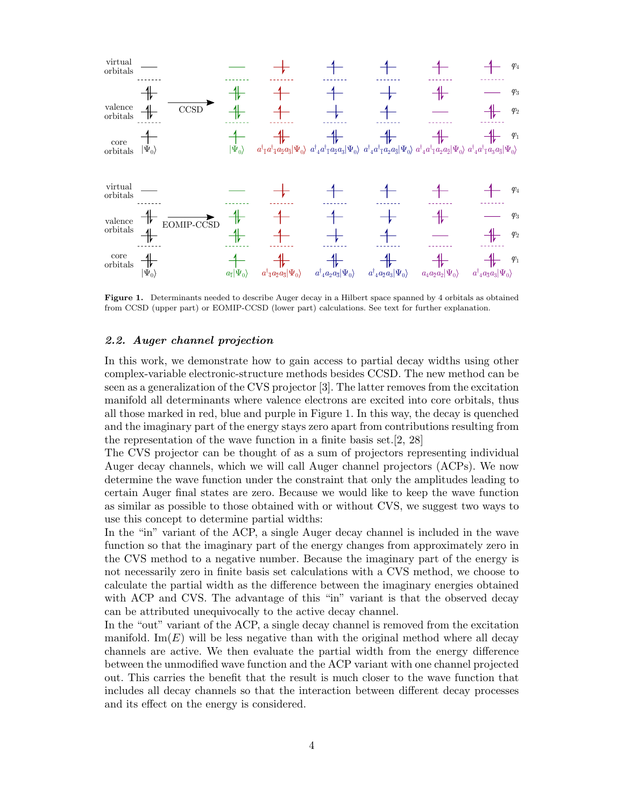

Figure 1. Determinants needed to describe Auger decay in a Hilbert space spanned by 4 orbitals as obtained from CCSD (upper part) or EOMIP-CCSD (lower part) calculations. See text for further explanation.

### 2.2. Auger channel projection

In this work, we demonstrate how to gain access to partial decay widths using other complex-variable electronic-structure methods besides CCSD. The new method can be seen as a generalization of the CVS projector [3]. The latter removes from the excitation manifold all determinants where valence electrons are excited into core orbitals, thus all those marked in red, blue and purple in Figure 1. In this way, the decay is quenched and the imaginary part of the energy stays zero apart from contributions resulting from the representation of the wave function in a finite basis set.[2, 28]

The CVS projector can be thought of as a sum of projectors representing individual Auger decay channels, which we will call Auger channel projectors (ACPs). We now determine the wave function under the constraint that only the amplitudes leading to certain Auger final states are zero. Because we would like to keep the wave function as similar as possible to those obtained with or without CVS, we suggest two ways to use this concept to determine partial widths:

In the "in" variant of the ACP, a single Auger decay channel is included in the wave function so that the imaginary part of the energy changes from approximately zero in the CVS method to a negative number. Because the imaginary part of the energy is not necessarily zero in finite basis set calculations with a CVS method, we choose to calculate the partial width as the difference between the imaginary energies obtained with ACP and CVS. The advantage of this "in" variant is that the observed decay can be attributed unequivocally to the active decay channel.

In the "out" variant of the ACP, a single decay channel is removed from the excitation manifold. Im( $E$ ) will be less negative than with the original method where all decay channels are active. We then evaluate the partial width from the energy difference between the unmodified wave function and the ACP variant with one channel projected out. This carries the benefit that the result is much closer to the wave function that includes all decay channels so that the interaction between different decay processes and its effect on the energy is considered.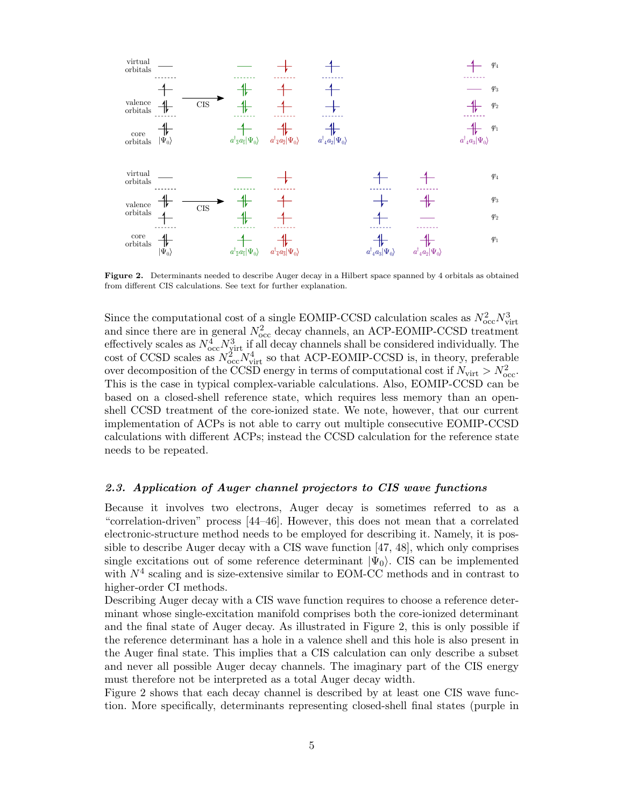

Figure 2. Determinants needed to describe Auger decay in a Hilbert space spanned by 4 orbitals as obtained from different CIS calculations. See text for further explanation.

Since the computational cost of a single EOMIP-CCSD calculation scales as  $N_{\rm occ}^2 N_{\rm virt}^3$ and since there are in general  $N_{\text{occ}}^2$  decay channels, an ACP-EOMIP-CCSD treatment effectively scales as  $N_{\text{occ}}^4 N_{\text{virt}}^3$  if all decay channels shall be considered individually. The cost of CCSD scales as  $N_{\text{occ}}^2 N_{\text{virt}}^4$  so that ACP-EOMIP-CCSD is, in theory, preferable over decomposition of the CCSD energy in terms of computational cost if  $N_{\text{virt}} > N_{\text{occ}}^2$ . This is the case in typical complex-variable calculations. Also, EOMIP-CCSD can be based on a closed-shell reference state, which requires less memory than an openshell CCSD treatment of the core-ionized state. We note, however, that our current implementation of ACPs is not able to carry out multiple consecutive EOMIP-CCSD calculations with different ACPs; instead the CCSD calculation for the reference state needs to be repeated.

## 2.3. Application of Auger channel projectors to CIS wave functions

Because it involves two electrons, Auger decay is sometimes referred to as a "correlation-driven" process [44–46]. However, this does not mean that a correlated electronic-structure method needs to be employed for describing it. Namely, it is possible to describe Auger decay with a CIS wave function [47, 48], which only comprises single excitations out of some reference determinant  $|\Psi_0\rangle$ . CIS can be implemented with  $N^4$  scaling and is size-extensive similar to EOM-CC methods and in contrast to higher-order CI methods.

Describing Auger decay with a CIS wave function requires to choose a reference determinant whose single-excitation manifold comprises both the core-ionized determinant and the final state of Auger decay. As illustrated in Figure 2, this is only possible if the reference determinant has a hole in a valence shell and this hole is also present in the Auger final state. This implies that a CIS calculation can only describe a subset and never all possible Auger decay channels. The imaginary part of the CIS energy must therefore not be interpreted as a total Auger decay width.

Figure 2 shows that each decay channel is described by at least one CIS wave function. More specifically, determinants representing closed-shell final states (purple in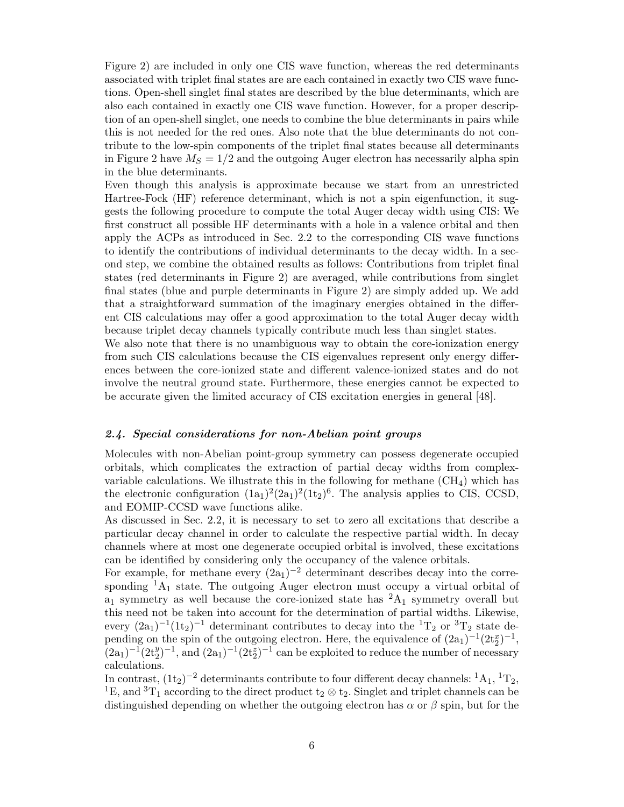Figure 2) are included in only one CIS wave function, whereas the red determinants associated with triplet final states are are each contained in exactly two CIS wave functions. Open-shell singlet final states are described by the blue determinants, which are also each contained in exactly one CIS wave function. However, for a proper description of an open-shell singlet, one needs to combine the blue determinants in pairs while this is not needed for the red ones. Also note that the blue determinants do not contribute to the low-spin components of the triplet final states because all determinants in Figure 2 have  $M_S = 1/2$  and the outgoing Auger electron has necessarily alpha spin in the blue determinants.

Even though this analysis is approximate because we start from an unrestricted Hartree-Fock (HF) reference determinant, which is not a spin eigenfunction, it suggests the following procedure to compute the total Auger decay width using CIS: We first construct all possible HF determinants with a hole in a valence orbital and then apply the ACPs as introduced in Sec. 2.2 to the corresponding CIS wave functions to identify the contributions of individual determinants to the decay width. In a second step, we combine the obtained results as follows: Contributions from triplet final states (red determinants in Figure 2) are averaged, while contributions from singlet final states (blue and purple determinants in Figure 2) are simply added up. We add that a straightforward summation of the imaginary energies obtained in the different CIS calculations may offer a good approximation to the total Auger decay width because triplet decay channels typically contribute much less than singlet states.

We also note that there is no unambiguous way to obtain the core-ionization energy from such CIS calculations because the CIS eigenvalues represent only energy differences between the core-ionized state and different valence-ionized states and do not involve the neutral ground state. Furthermore, these energies cannot be expected to be accurate given the limited accuracy of CIS excitation energies in general [48].

## 2.4. Special considerations for non-Abelian point groups

Molecules with non-Abelian point-group symmetry can possess degenerate occupied orbitals, which complicates the extraction of partial decay widths from complexvariable calculations. We illustrate this in the following for methane  $(CH_4)$  which has the electronic configuration  $(1a_1)^2(2a_1)^2(1t_2)^6$ . The analysis applies to CIS, CCSD, and EOMIP-CCSD wave functions alike.

As discussed in Sec. 2.2, it is necessary to set to zero all excitations that describe a particular decay channel in order to calculate the respective partial width. In decay channels where at most one degenerate occupied orbital is involved, these excitations can be identified by considering only the occupancy of the valence orbitals.

For example, for methane every  $(2a_1)^{-2}$  determinant describes decay into the corresponding  $^{1}A_{1}$  state. The outgoing Auger electron must occupy a virtual orbital of  $a_1$  symmetry as well because the core-ionized state has  ${}^2A_1$  symmetry overall but this need not be taken into account for the determination of partial widths. Likewise, every  $(2a_1)^{-1}(1t_2)^{-1}$  determinant contributes to decay into the  ${}^{1}T_2$  or  ${}^{3}T_2$  state depending on the spin of the outgoing electron. Here, the equivalence of  $(2a_1)^{-1}(2t_2^x)^{-1}$ ,  $(2a_1)^{-1}(2t_2^y)^{-1}$ , and  $(2a_1)^{-1}(2t_2^z)^{-1}$  can be exploited to reduce the number of necessary calculations.

In contrast,  $(1t_2)^{-2}$  determinants contribute to four different decay channels:  ${}^1A_1, {}^1T_2$ , <sup>1</sup>E, and <sup>3</sup>T<sub>1</sub> according to the direct product t<sub>2</sub>  $\otimes$  t<sub>2</sub>. Singlet and triplet channels can be distinguished depending on whether the outgoing electron has  $\alpha$  or  $\beta$  spin, but for the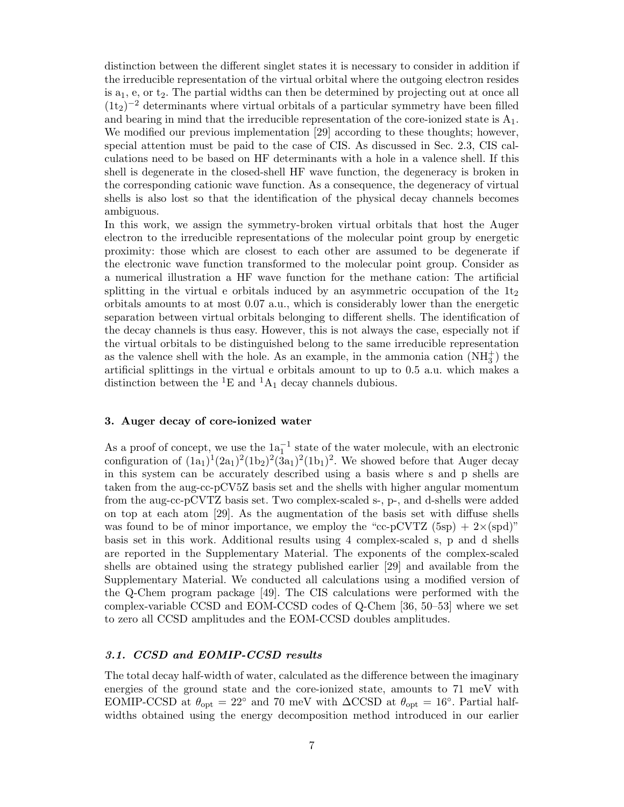distinction between the different singlet states it is necessary to consider in addition if the irreducible representation of the virtual orbital where the outgoing electron resides is  $a_1$ , e, or  $t_2$ . The partial widths can then be determined by projecting out at once all  $(1t_2)^{-2}$  determinants where virtual orbitals of a particular symmetry have been filled and bearing in mind that the irreducible representation of the core-ionized state is  $A_1$ . We modified our previous implementation [29] according to these thoughts; however, special attention must be paid to the case of CIS. As discussed in Sec. 2.3, CIS calculations need to be based on HF determinants with a hole in a valence shell. If this shell is degenerate in the closed-shell HF wave function, the degeneracy is broken in the corresponding cationic wave function. As a consequence, the degeneracy of virtual shells is also lost so that the identification of the physical decay channels becomes ambiguous.

In this work, we assign the symmetry-broken virtual orbitals that host the Auger electron to the irreducible representations of the molecular point group by energetic proximity: those which are closest to each other are assumed to be degenerate if the electronic wave function transformed to the molecular point group. Consider as a numerical illustration a HF wave function for the methane cation: The artificial splitting in the virtual e orbitals induced by an asymmetric occupation of the  $1t<sub>2</sub>$ orbitals amounts to at most 0.07 a.u., which is considerably lower than the energetic separation between virtual orbitals belonging to different shells. The identification of the decay channels is thus easy. However, this is not always the case, especially not if the virtual orbitals to be distinguished belong to the same irreducible representation as the valence shell with the hole. As an example, in the ammonia cation  $(NH_3^+)$  the artificial splittings in the virtual e orbitals amount to up to 0.5 a.u. which makes a distinction between the <sup>1</sup>E and <sup>1</sup>A<sub>1</sub> decay channels dubious.

## 3. Auger decay of core-ionized water

As a proof of concept, we use the  $1a_1^{-1}$  state of the water molecule, with an electronic configuration of  $(1a_1)^1(2a_1)^2(1b_2)^2(3a_1)^2(1b_1)^2$ . We showed before that Auger decay in this system can be accurately described using a basis where s and p shells are taken from the aug-cc-pCV5Z basis set and the shells with higher angular momentum from the aug-cc-pCVTZ basis set. Two complex-scaled s-, p-, and d-shells were added on top at each atom [29]. As the augmentation of the basis set with diffuse shells was found to be of minor importance, we employ the "cc-pCVTZ  $(5sp) + 2\times (spd)$ " basis set in this work. Additional results using 4 complex-scaled s, p and d shells are reported in the Supplementary Material. The exponents of the complex-scaled shells are obtained using the strategy published earlier [29] and available from the Supplementary Material. We conducted all calculations using a modified version of the Q-Chem program package [49]. The CIS calculations were performed with the complex-variable CCSD and EOM-CCSD codes of Q-Chem [36, 50–53] where we set to zero all CCSD amplitudes and the EOM-CCSD doubles amplitudes.

## 3.1. CCSD and EOMIP-CCSD results

The total decay half-width of water, calculated as the difference between the imaginary energies of the ground state and the core-ionized state, amounts to 71 meV with EOMIP-CCSD at  $\theta_{opt} = 22^{\circ}$  and 70 meV with  $\Delta$ CCSD at  $\theta_{opt} = 16^{\circ}$ . Partial halfwidths obtained using the energy decomposition method introduced in our earlier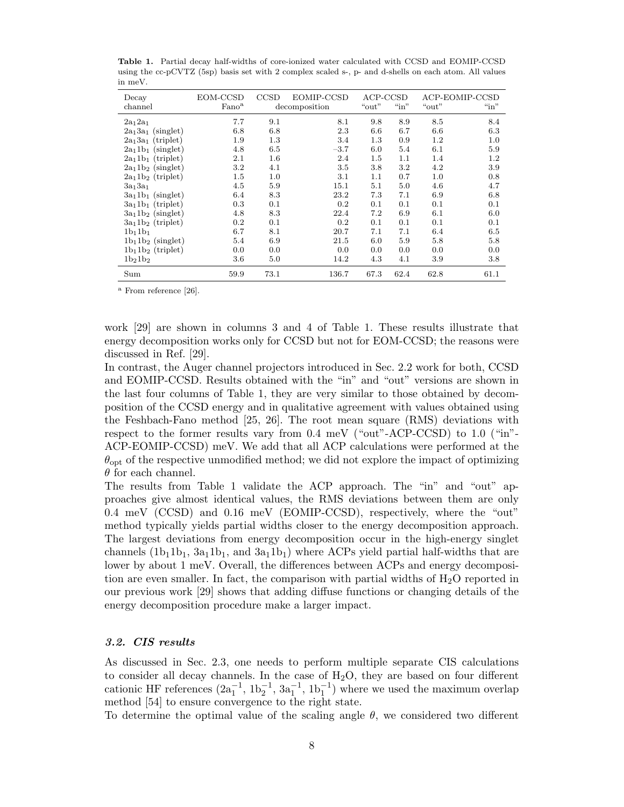| Decay<br>channel     | EOM-CCSD<br>Fano <sup>a</sup> | CCSD<br>EOMIP-CCSD<br>decomposition |        | ACP-CCSD<br>$\lq\lq$ in"<br>"out" |         | "out" | ACP-EOMIP-CCSD<br>$\sin$ " |
|----------------------|-------------------------------|-------------------------------------|--------|-----------------------------------|---------|-------|----------------------------|
| $2a_1 2a_1$          | 7.7                           | 9.1                                 | 8.1    | 9.8                               | 8.9     | 8.5   | 8.4                        |
| $2a_13a_1$ (singlet) | 6.8                           | 6.8                                 | 2.3    | 6.6                               | 6.7     | 6.6   | 6.3                        |
| $2a_13a_1$ (triplet) | 1.9                           | 1.3                                 | 3.4    | 1.3                               | 0.9     | 1.2   | 1.0                        |
| $2a_11b_1$ (singlet) | 4.8                           | 6.5                                 | $-3.7$ | 6.0                               | 5.4     | 6.1   | 5.9                        |
| $2a_11b_1$ (triplet) | 2.1                           | 1.6                                 | 2.4    | $1.5\,$                           | 1.1     | 1.4   | 1.2                        |
| $2a_11b_2$ (singlet) | $3.2\,$                       | 4.1                                 | 3.5    | 3.8                               | $3.2\,$ | 4.2   | 3.9                        |
| $2a_11b_2$ (triplet) | 1.5                           | 1.0                                 | 3.1    | 1.1                               | 0.7     | 1.0   | 0.8                        |
| $3a_13a_1$           | 4.5                           | 5.9                                 | 15.1   | 5.1                               | 5.0     | 4.6   | 4.7                        |
| $3a_11b_1$ (singlet) | 6.4                           | 8.3                                 | 23.2   | 7.3                               | 7.1     | 6.9   | 6.8                        |
| $3a_11b_1$ (triplet) | 0.3                           | 0.1                                 | 0.2    | 0.1                               | 0.1     | 0.1   | 0.1                        |
| $3a_11b_2$ (singlet) | 4.8                           | 8.3                                 | 22.4   | 7.2                               | 6.9     | 6.1   | 6.0                        |
| $3a_11b_2$ (triplet) | 0.2                           | 0.1                                 | 0.2    | 0.1                               | 0.1     | 0.1   | 0.1                        |
| $1b_11b_1$           | 6.7                           | 8.1                                 | 20.7   | 7.1                               | 7.1     | 6.4   | 6.5                        |
| $1b_11b_2$ (singlet) | 5.4                           | 6.9                                 | 21.5   | 6.0                               | 5.9     | 5.8   | 5.8                        |
| $1b_11b_2$ (triplet) | 0.0                           | 0.0                                 | 0.0    | 0.0                               | 0.0     | 0.0   | 0.0                        |
| $1b_21b_2$           | 3.6                           | 5.0                                 | 14.2   | 4.3                               | 4.1     | 3.9   | 3.8                        |
| Sum                  | 59.9                          | 73.1                                | 136.7  | 67.3                              | 62.4    | 62.8  | 61.1                       |

Table 1. Partial decay half-widths of core-ionized water calculated with CCSD and EOMIP-CCSD using the cc-pCVTZ (5sp) basis set with 2 complex scaled s-, p- and d-shells on each atom. All values in meV.

<sup>a</sup> From reference [26].

work [29] are shown in columns 3 and 4 of Table 1. These results illustrate that energy decomposition works only for CCSD but not for EOM-CCSD; the reasons were discussed in Ref. [29].

In contrast, the Auger channel projectors introduced in Sec. 2.2 work for both, CCSD and EOMIP-CCSD. Results obtained with the "in" and "out" versions are shown in the last four columns of Table 1, they are very similar to those obtained by decomposition of the CCSD energy and in qualitative agreement with values obtained using the Feshbach-Fano method [25, 26]. The root mean square (RMS) deviations with respect to the former results vary from 0.4 meV ("out"-ACP-CCSD) to 1.0 ("in"- ACP-EOMIP-CCSD) meV. We add that all ACP calculations were performed at the  $\theta_{\text{opt}}$  of the respective unmodified method; we did not explore the impact of optimizing  $\theta$  for each channel.

The results from Table 1 validate the ACP approach. The "in" and "out" approaches give almost identical values, the RMS deviations between them are only 0.4 meV (CCSD) and 0.16 meV (EOMIP-CCSD), respectively, where the "out" method typically yields partial widths closer to the energy decomposition approach. The largest deviations from energy decomposition occur in the high-energy singlet channels  $(1b_11b_1, 3a_11b_1,$  and  $3a_11b_1$ ) where ACPs yield partial half-widths that are lower by about 1 meV. Overall, the differences between ACPs and energy decomposition are even smaller. In fact, the comparison with partial widths of  $H_2O$  reported in our previous work [29] shows that adding diffuse functions or changing details of the energy decomposition procedure make a larger impact.

## 3.2. CIS results

As discussed in Sec. 2.3, one needs to perform multiple separate CIS calculations to consider all decay channels. In the case of  $H_2O$ , they are based on four different cationic HF references  $(2a_1^{-1}, 1b_2^{-1}, 3a_1^{-1}, 1b_1^{-1})$  where we used the maximum overlap method [54] to ensure convergence to the right state.

To determine the optimal value of the scaling angle  $\theta$ , we considered two different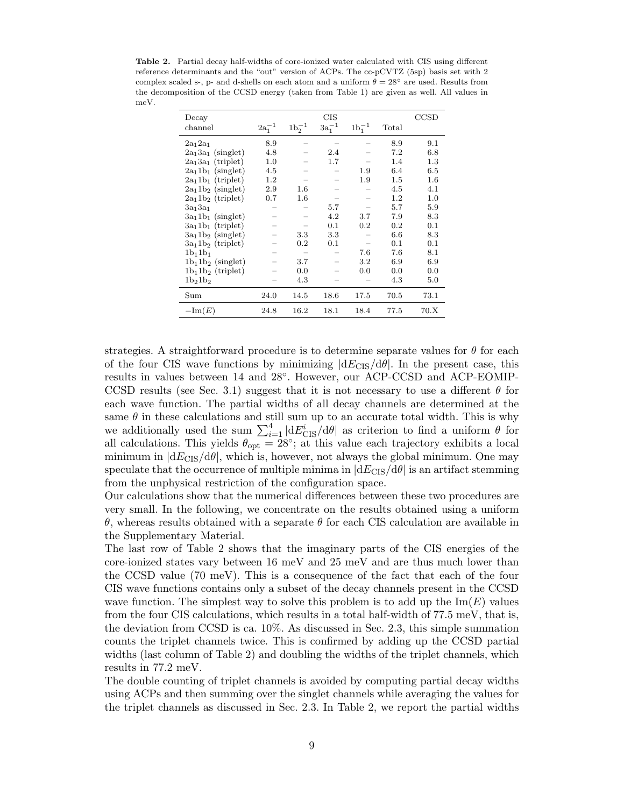Table 2. Partial decay half-widths of core-ionized water calculated with CIS using different reference determinants and the "out" version of ACPs. The cc-pCVTZ (5sp) basis set with 2 complex scaled s-, p- and d-shells on each atom and a uniform  $\theta = 28^\circ$  are used. Results from the decomposition of the CCSD energy (taken from Table 1) are given as well. All values in meV.

| Decay                |             |             | CIS         |             |         | CCSD    |
|----------------------|-------------|-------------|-------------|-------------|---------|---------|
| channel              | $2a_1^{-1}$ | $1b_2^{-1}$ | $3a_1^{-1}$ | $1b_1^{-1}$ | Total   |         |
| $2a_1 2a_1$          | 8.9         |             |             |             | 8.9     | 9.1     |
| $2a_13a_1$ (singlet) | 4.8         |             | 2.4         |             | 7.2     | 6.8     |
| $2a_13a_1$ (triplet) | 1.0         |             | 1.7         |             | 1.4     | 1.3     |
| $2a_11b_1$ (singlet) | 4.5         |             |             | 1.9         | 6.4     | 6.5     |
| $2a_11b_1$ (triplet) | 1.2         |             |             | 1.9         | $1.5\,$ | $1.6\,$ |
| $2a_11b_2$ (singlet) | 2.9         | $1.6\,$     |             |             | 4.5     | 4.1     |
| $2a_11b_2$ (triplet) | 0.7         | $1.6\,$     |             |             | $1.2\,$ | 1.0     |
| $3a_13a_1$           |             |             | 5.7         |             | 5.7     | 5.9     |
| $3a_11b_1$ (singlet) |             |             | 4.2         | 3.7         | 7.9     | 8.3     |
| $3a_11b_1$ (triplet) |             |             | 0.1         | 0.2         | 0.2     | 0.1     |
| $3a_11b_2$ (singlet) |             | 3.3         | 3.3         |             | 6.6     | 8.3     |
| $3a_11b_2$ (triplet) |             | 0.2         | 0.1         |             | 0.1     | 0.1     |
| $1b_11b_1$           |             |             |             | 7.6         | 7.6     | 8.1     |
| $1b_11b_2$ (singlet) |             | 3.7         |             | 3.2         | 6.9     | 6.9     |
| $1b_11b_2$ (triplet) |             | 0.0         |             | 0.0         | 0.0     | 0.0     |
| $1b_21b_2$           |             | 4.3         |             |             | 4.3     | 5.0     |
| Sum                  | 24.0        | 14.5        | 18.6        | 17.5        | 70.5    | 73.1    |
| $-\text{Im}(E)$      | 24.8        | 16.2        | 18.1        | 18.4        | 77.5    | 70.X    |

strategies. A straightforward procedure is to determine separate values for  $\theta$  for each of the four CIS wave functions by minimizing  $|dE_{\text{CIS}}/d\theta|$ . In the present case, this results in values between 14 and 28◦ . However, our ACP-CCSD and ACP-EOMIP-CCSD results (see Sec. 3.1) suggest that it is not necessary to use a different  $\theta$  for each wave function. The partial widths of all decay channels are determined at the same  $\theta$  in these calculations and still sum up to an accurate total width. This is why we additionally used the sum  $\sum_{i=1}^{4} |dE_{\text{CIS}}^{i}/d\theta|$  as criterion to find a uniform  $\theta$  for all calculations. This yields  $\theta_{opt} = 28^{\circ}$ ; at this value each trajectory exhibits a local minimum in  $|dE_{\text{CIS}}/d\theta|$ , which is, however, not always the global minimum. One may speculate that the occurrence of multiple minima in  $|dE_{\text{CIS}}/d\theta|$  is an artifact stemming from the unphysical restriction of the configuration space.

Our calculations show that the numerical differences between these two procedures are very small. In the following, we concentrate on the results obtained using a uniform θ, whereas results obtained with a separate θ for each CIS calculation are available in the Supplementary Material.

The last row of Table 2 shows that the imaginary parts of the CIS energies of the core-ionized states vary between 16 meV and 25 meV and are thus much lower than the CCSD value (70 meV). This is a consequence of the fact that each of the four CIS wave functions contains only a subset of the decay channels present in the CCSD wave function. The simplest way to solve this problem is to add up the  $\text{Im}(E)$  values from the four CIS calculations, which results in a total half-width of 77.5 meV, that is, the deviation from CCSD is ca. 10%. As discussed in Sec. 2.3, this simple summation counts the triplet channels twice. This is confirmed by adding up the CCSD partial widths (last column of Table 2) and doubling the widths of the triplet channels, which results in 77.2 meV.

The double counting of triplet channels is avoided by computing partial decay widths using ACPs and then summing over the singlet channels while averaging the values for the triplet channels as discussed in Sec. 2.3. In Table 2, we report the partial widths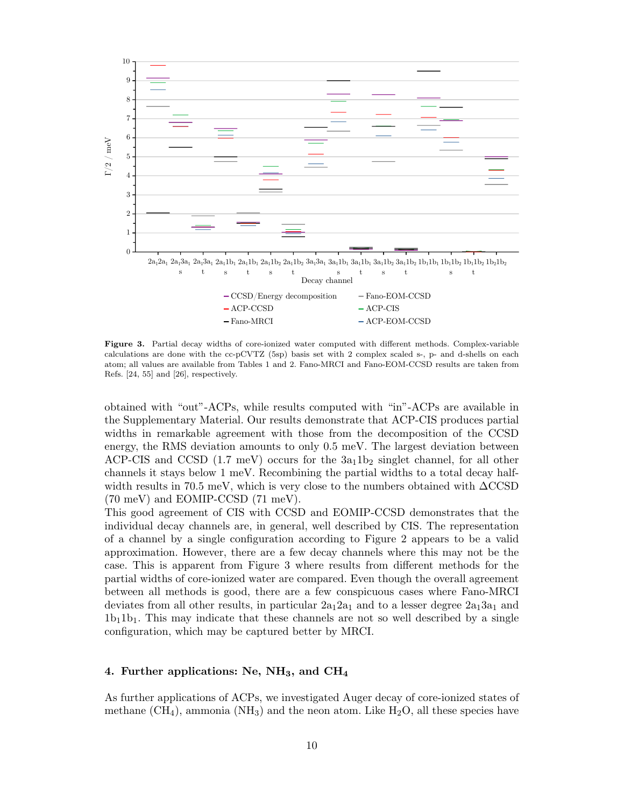

Figure 3. Partial decay widths of core-ionized water computed with different methods. Complex-variable calculations are done with the cc-pCVTZ (5sp) basis set with 2 complex scaled s-, p- and d-shells on each atom; all values are available from Tables 1 and 2. Fano-MRCI and Fano-EOM-CCSD results are taken from Refs. [24, 55] and [26], respectively.

obtained with "out"-ACPs, while results computed with "in"-ACPs are available in the Supplementary Material. Our results demonstrate that ACP-CIS produces partial widths in remarkable agreement with those from the decomposition of the CCSD energy, the RMS deviation amounts to only 0.5 meV. The largest deviation between ACP-CIS and CCSD  $(1.7 \text{ meV})$  occurs for the  $3a_11b_2$  singlet channel, for all other channels it stays below 1 meV. Recombining the partial widths to a total decay halfwidth results in 70.5 meV, which is very close to the numbers obtained with  $\Delta$ CCSD (70 meV) and EOMIP-CCSD (71 meV).

This good agreement of CIS with CCSD and EOMIP-CCSD demonstrates that the individual decay channels are, in general, well described by CIS. The representation of a channel by a single configuration according to Figure 2 appears to be a valid approximation. However, there are a few decay channels where this may not be the case. This is apparent from Figure 3 where results from different methods for the partial widths of core-ionized water are compared. Even though the overall agreement between all methods is good, there are a few conspicuous cases where Fano-MRCI deviates from all other results, in particular  $2a_12a_1$  and to a lesser degree  $2a_13a_1$  and  $1b_11b_1$ . This may indicate that these channels are not so well described by a single configuration, which may be captured better by MRCI.

## 4. Further applications: Ne,  $NH_3$ , and  $CH_4$

As further applications of ACPs, we investigated Auger decay of core-ionized states of methane  $(CH_4)$ , ammonia  $(NH_3)$  and the neon atom. Like  $H_2O$ , all these species have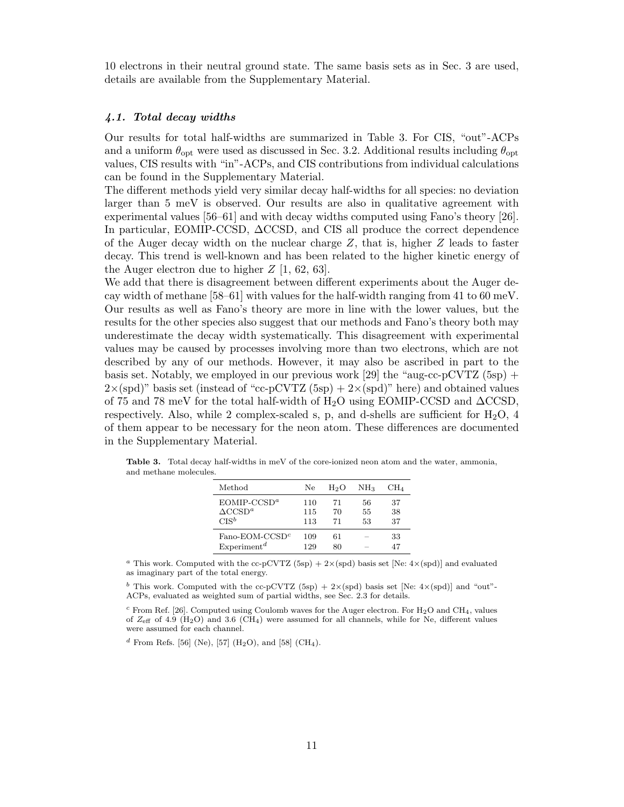10 electrons in their neutral ground state. The same basis sets as in Sec. 3 are used, details are available from the Supplementary Material.

#### 4.1. Total decay widths

Our results for total half-widths are summarized in Table 3. For CIS, "out"-ACPs and a uniform  $\theta_{\rm opt}$  were used as discussed in Sec. 3.2. Additional results including  $\theta_{\rm opt}$ values, CIS results with "in"-ACPs, and CIS contributions from individual calculations can be found in the Supplementary Material.

The different methods yield very similar decay half-widths for all species: no deviation larger than 5 meV is observed. Our results are also in qualitative agreement with experimental values [56–61] and with decay widths computed using Fano's theory [26]. In particular, EOMIP-CCSD, ∆CCSD, and CIS all produce the correct dependence of the Auger decay width on the nuclear charge  $Z$ , that is, higher  $Z$  leads to faster decay. This trend is well-known and has been related to the higher kinetic energy of the Auger electron due to higher  $Z$  [1, 62, 63].

We add that there is disagreement between different experiments about the Auger decay width of methane [58–61] with values for the half-width ranging from 41 to 60 meV. Our results as well as Fano's theory are more in line with the lower values, but the results for the other species also suggest that our methods and Fano's theory both may underestimate the decay width systematically. This disagreement with experimental values may be caused by processes involving more than two electrons, which are not described by any of our methods. However, it may also be ascribed in part to the basis set. Notably, we employed in our previous work [29] the "aug-cc-pCVTZ  $(5sp)$  +  $2\times$ (spd)" basis set (instead of "cc-pCVTZ (5sp) +  $2\times$ (spd)" here) and obtained values of 75 and 78 meV for the total half-width of H<sub>2</sub>O using EOMIP-CCSD and  $\Delta$ CCSD, respectively. Also, while 2 complex-scaled s, p, and d-shells are sufficient for  $H_2O$ , 4 of them appear to be necessary for the neon atom. These differences are documented in the Supplementary Material.

| Method                        | Ne. | H2O | NH <sub>3</sub> | CH4 |
|-------------------------------|-----|-----|-----------------|-----|
| $EOMIP-CCSDa$                 | 110 | 71  | 56              | 37  |
| $\triangle$ CCSD <sup>a</sup> | 115 | 70  | 55              | 38  |
| $CIS^b$                       | 113 | 71  | 53              | 37  |
| $Fano-EOM-CCSDc$              | 109 | 61  |                 | 33  |
| Experiment <sup>d</sup>       | 129 | 80  |                 | 47  |

Table 3. Total decay half-widths in meV of the core-ionized neon atom and the water, ammonia, and methane molecules.

<sup>a</sup> This work. Computed with the cc-pCVTZ (5sp) + 2×(spd) basis set [Ne: 4×(spd)] and evaluated as imaginary part of the total energy.

<sup>b</sup> This work. Computed with the cc-pCVTZ (5sp) + 2×(spd) basis set [Ne: 4×(spd)] and "out"-ACPs, evaluated as weighted sum of partial widths, see Sec. 2.3 for details.

 $c$  From Ref. [26]. Computed using Coulomb waves for the Auger electron. For H<sub>2</sub>O and CH<sub>4</sub>, values of  $Z_{\text{eff}}$  of 4.9 (H<sub>2</sub>O) and 3.6 (CH<sub>4</sub>) were assumed for all channels, while for Ne, different values were assumed for each channel.

<sup>d</sup> From Refs. [56] (Ne), [57] (H<sub>2</sub>O), and [58] (CH<sub>4</sub>).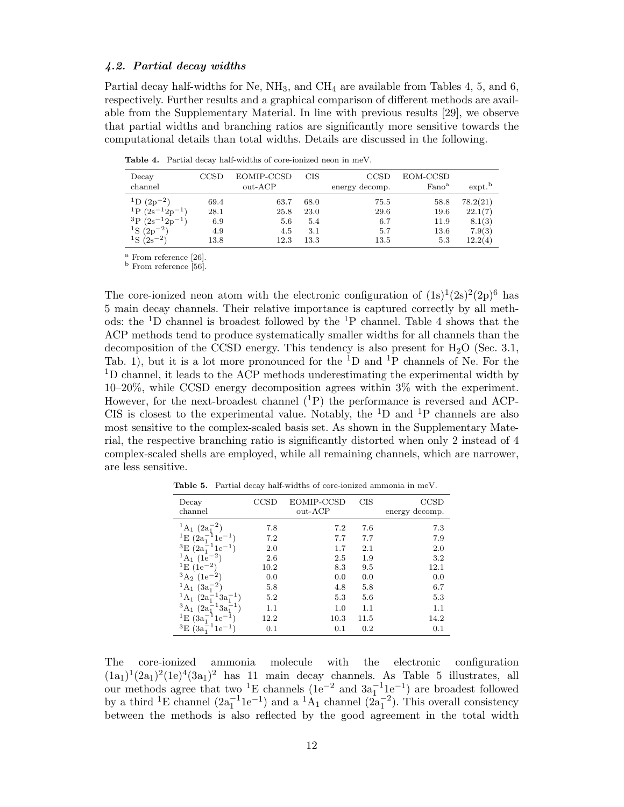#### 4.2. Partial decay widths

Partial decay half-widths for Ne,  $NH_3$ , and  $CH_4$  are available from Tables 4, 5, and 6, respectively. Further results and a graphical comparison of different methods are available from the Supplementary Material. In line with previous results [29], we observe that partial widths and branching ratios are significantly more sensitive towards the computational details than total widths. Details are discussed in the following.

Table 4. Partial decay half-widths of core-ionized neon in meV.

| Decay<br>channel                                                                                         | CCSD                       | EOMIP-CCSD<br>out-ACP      | CIS                        | CCSD<br>energy decomp.     | EOM-CCSD<br>Fano <sup>a</sup>    | $ext{ext}$                              |
|----------------------------------------------------------------------------------------------------------|----------------------------|----------------------------|----------------------------|----------------------------|----------------------------------|-----------------------------------------|
| $^{1}D(2p^{-2})$<br><sup>1</sup> P $(2s^{-1}2p^{-1})$<br>${}^{3}P(2s^{-1}2p^{-1})$<br>${}^{1}S(2p^{-2})$ | 69.4<br>28.1<br>6.9<br>4.9 | 63.7<br>25.8<br>5.6<br>4.5 | 68.0<br>23.0<br>5.4<br>3.1 | 75.5<br>29.6<br>6.7<br>5.7 | 58.8<br>19.6<br>11.9<br>$13.6\,$ | 78.2(21)<br>22.1(7)<br>8.1(3)<br>7.9(3) |
| ${}^{1}S(2s^{-2})$                                                                                       | 13.8                       | 12.3                       | 13.3                       | 13.5                       | 5.3                              | 12.2(4)                                 |

<sup>a</sup> From reference [26].

<sup>b</sup> From reference [56].

The core-ionized neon atom with the electronic configuration of  $(1s)^{1}(2s)^{2}(2p)^{6}$  has 5 main decay channels. Their relative importance is captured correctly by all methods: the <sup>1</sup>D channel is broadest followed by the <sup>1</sup>P channel. Table 4 shows that the ACP methods tend to produce systematically smaller widths for all channels than the decomposition of the CCSD energy. This tendency is also present for  $H_2O$  (Sec. 3.1, Tab. 1), but it is a lot more pronounced for the  ${}^{1}D$  and  ${}^{1}P$  channels of Ne. For the <sup>1</sup>D channel, it leads to the ACP methods underestimating the experimental width by 10–20%, while CCSD energy decomposition agrees within 3% with the experiment. However, for the next-broadest channel  $(1P)$  the performance is reversed and ACP-CIS is closest to the experimental value. Notably, the  ${}^{1}D$  and  ${}^{1}P$  channels are also most sensitive to the complex-scaled basis set. As shown in the Supplementary Material, the respective branching ratio is significantly distorted when only 2 instead of 4 complex-scaled shells are employed, while all remaining channels, which are narrower, are less sensitive.

| Decay<br>channel                            | <b>CCSD</b> | EOMIP-CCSD<br>$_{\text{out-ACP}}$ | <b>CIS</b> | CCSD<br>energy decomp. |
|---------------------------------------------|-------------|-----------------------------------|------------|------------------------|
| ${}^{1}\mathrm{A}_1$ $(2a_1^-$              | 7.8         | 7.2                               | 7.6        | 7.3                    |
| ${}^{1}E$ (2a <sub>1</sub><br>$1e^{-1}$     | 7.2         | 7.7                               | 7.7        | 7.9                    |
| ${}^{3}E(2a_{1}^{-1}1e^{-1})$               | 2.0         | 1.7                               | 2.1        | 2.0                    |
| $^{1}A_{1}$ (1e <sup>-2</sup> )             | 2.6         | 2.5                               | 1.9        | 3.2                    |
| $E(1e^{-2})$                                | 10.2        | 8.3                               | 9.5        | 12.1                   |
| ${}^{3}A_2$ (1e <sup>-2</sup> )             | 0.0         | 0.0                               | 0.0        | 0.0                    |
| $^{1}\text{A}_{1}$ $(3a_{1}^{-2})$          | 5.8         | 4.8                               | 5.8        | 6.7                    |
| $^{1}A_{1}$ $(2a_{1}^{-1}3a_{1}^{-1})$      | 5.2         | 5.3                               | 5.6        | 5.3                    |
| ${}^3A_1$ (2a <sub>1</sub><br>$^{-1}3a_1^-$ | 1.1         | 1.0                               | 1.1        | 1.1                    |
| ${}^{1}E$ (3a <sub>1</sub><br>$1e^{-1}$     | 12.2        | 10.3                              | 11.5       | 14.2                   |
| ${}^{3}E$ (3a <sub>1</sub>                  | 0.1         | 0.1                               | 0.2        | 0.1                    |

Table 5. Partial decay half-widths of core-ionized ammonia in meV.

The core-ionized ammonia molecule with the electronic configuration  $(1a_1)^1(2a_1)^2(1e)^4(3a_1)^2$  has 11 main decay channels. As Table 5 illustrates, all our methods agree that two <sup>1</sup>E channels (1e<sup>-2</sup> and  $3a_1^{-1}1e^{-1}$ ) are broadest followed by a third <sup>1</sup>E channel  $(2a_1^{-1}1e^{-1})$  and a <sup>1</sup>A<sub>1</sub> channel  $(2a_1^{-2})$ . This overall consistency between the methods is also reflected by the good agreement in the total width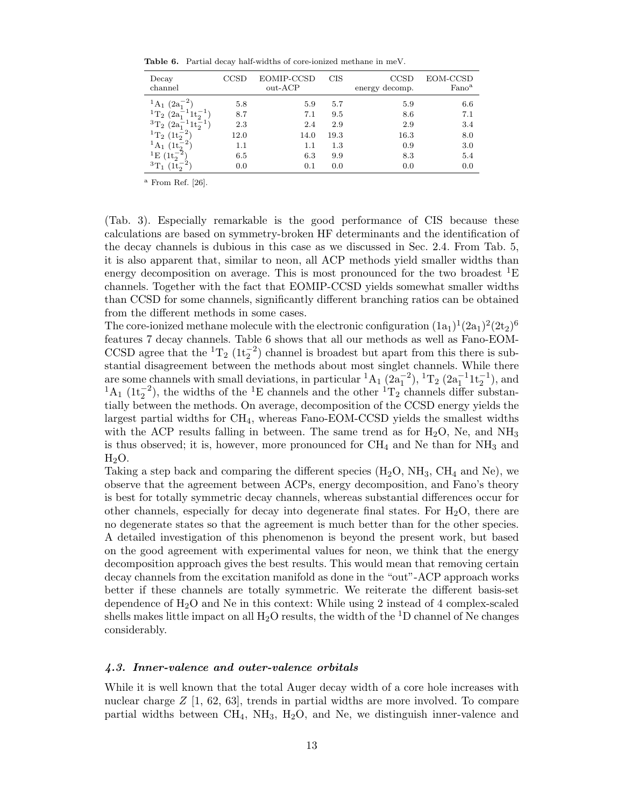Table 6. Partial decay half-widths of core-ionized methane in meV.

| Decay<br>channel                        |      | EOMIP-CCSD<br>out-ACP | CIS  | CCSD<br>energy decomp. | EOM-CCSD<br>Fano <sup>a</sup> |
|-----------------------------------------|------|-----------------------|------|------------------------|-------------------------------|
| ${}^{1}\text{A}_1$ (2a <sub>1</sub>     | 5.8  | 5.9                   | 5.7  | 5.9                    | 6.6                           |
| ${}^{1}T_{2}$ (2a <sub>1</sub>          | 8.7  | 7.1                   | 9.5  | 8.6                    | 7.1                           |
| ${}^{3}T_{2}$ $(2a_{1}^{-})$<br>$11t_2$ | 2.3  | 2.4                   | 2.9  | 2.9                    | 3.4                           |
| ${}^{1}T_{2}$ (1t <sub>2</sub>          | 12.0 | 14.0                  | 19.3 | 16.3                   | 8.0                           |
| $^{1}A_{1}$ (1t <sub>2</sub>            | 1.1  | 1.1                   | 1.3  | 0.9                    | 3.0                           |
| <sup>1</sup> E $(1t_2^{-2})$            | 6.5  | 6.3                   | 9.9  | 8.3                    | 5.4                           |
| $^{3}T_{1}$                             | 0.0  | 0.1                   | 0.0  | 0.0                    | 0.0                           |

 $a$  From Ref. [26].

(Tab. 3). Especially remarkable is the good performance of CIS because these calculations are based on symmetry-broken HF determinants and the identification of the decay channels is dubious in this case as we discussed in Sec. 2.4. From Tab. 5, it is also apparent that, similar to neon, all ACP methods yield smaller widths than energy decomposition on average. This is most pronounced for the two broadest  ${}^{1}E$ channels. Together with the fact that EOMIP-CCSD yields somewhat smaller widths than CCSD for some channels, significantly different branching ratios can be obtained from the different methods in some cases.

The core-ionized methane molecule with the electronic configuration  $(1a_1)^1(2a_1)^2(2t_2)^6$ features 7 decay channels. Table 6 shows that all our methods as well as Fano-EOM-CCSD agree that the  ${}^{1}T_{2}$  ( $1t_{2}^{-2}$ ) channel is broadest but apart from this there is substantial disagreement between the methods about most singlet channels. While there are some channels with small deviations, in particular  ${}^{1}A_{1}$   $(2a_{1}^{-2})$ ,  ${}^{1}T_{2}$   $(2a_{1}^{-1}1t_{2}^{-1})$ , and <sup>1</sup>A<sub>1</sub> (1t<sub>2</sub><sup>-2</sup>), the widths of the <sup>1</sup>E channels and the other <sup>1</sup>T<sub>2</sub> channels differ substantially between the methods. On average, decomposition of the CCSD energy yields the largest partial widths for CH4, whereas Fano-EOM-CCSD yields the smallest widths with the ACP results falling in between. The same trend as for  $H_2O$ , Ne, and  $NH_3$ is thus observed; it is, however, more pronounced for  $\text{CH}_4$  and Ne than for  $\text{NH}_3$  and  $H<sub>2</sub>O$ .

Taking a step back and comparing the different species  $(H_2O, NH_3, CH_4$  and Ne), we observe that the agreement between ACPs, energy decomposition, and Fano's theory is best for totally symmetric decay channels, whereas substantial differences occur for other channels, especially for decay into degenerate final states. For  $H_2O$ , there are no degenerate states so that the agreement is much better than for the other species. A detailed investigation of this phenomenon is beyond the present work, but based on the good agreement with experimental values for neon, we think that the energy decomposition approach gives the best results. This would mean that removing certain decay channels from the excitation manifold as done in the "out"-ACP approach works better if these channels are totally symmetric. We reiterate the different basis-set dependence of  $H_2O$  and Ne in this context: While using 2 instead of 4 complex-scaled shells makes little impact on all  $H_2O$  results, the width of the <sup>1</sup>D channel of Ne changes considerably.

## 4.3. Inner-valence and outer-valence orbitals

While it is well known that the total Auger decay width of a core hole increases with nuclear charge  $Z$  [1, 62, 63], trends in partial widths are more involved. To compare partial widths between  $CH_4$ ,  $NH_3$ ,  $H_2O$ , and Ne, we distinguish inner-valence and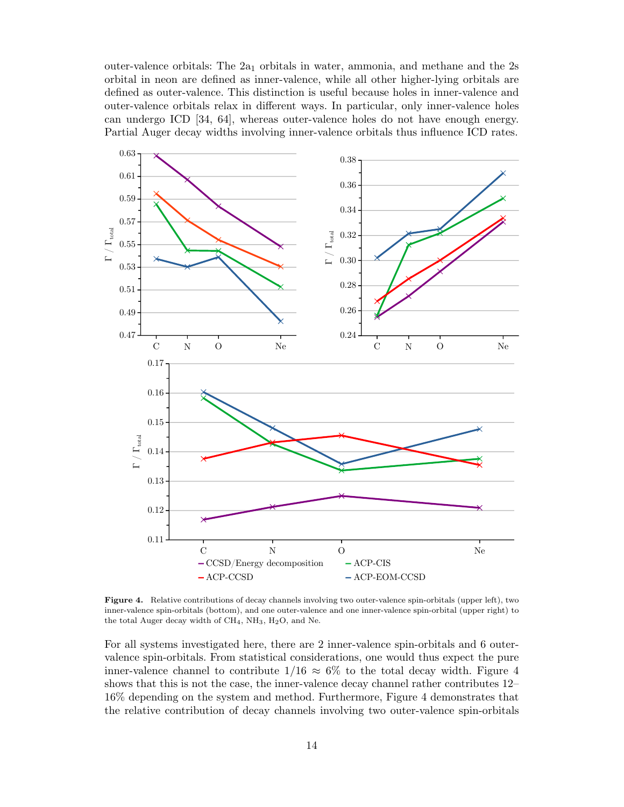outer-valence orbitals: The  $2a_1$  orbitals in water, ammonia, and methane and the  $2s$ orbital in neon are defined as inner-valence, while all other higher-lying orbitals are defined as outer-valence. This distinction is useful because holes in inner-valence and outer-valence orbitals relax in different ways. In particular, only inner-valence holes can undergo ICD [34, 64], whereas outer-valence holes do not have enough energy. Partial Auger decay widths involving inner-valence orbitals thus influence ICD rates.



Figure 4. Relative contributions of decay channels involving two outer-valence spin-orbitals (upper left), two inner-valence spin-orbitals (bottom), and one outer-valence and one inner-valence spin-orbital (upper right) to the total Auger decay width of  $CH_4$ ,  $NH_3$ ,  $H_2O$ , and Ne.

For all systems investigated here, there are 2 inner-valence spin-orbitals and 6 outervalence spin-orbitals. From statistical considerations, one would thus expect the pure inner-valence channel to contribute  $1/16 \approx 6\%$  to the total decay width. Figure 4 shows that this is not the case, the inner-valence decay channel rather contributes 12– 16% depending on the system and method. Furthermore, Figure 4 demonstrates that the relative contribution of decay channels involving two outer-valence spin-orbitals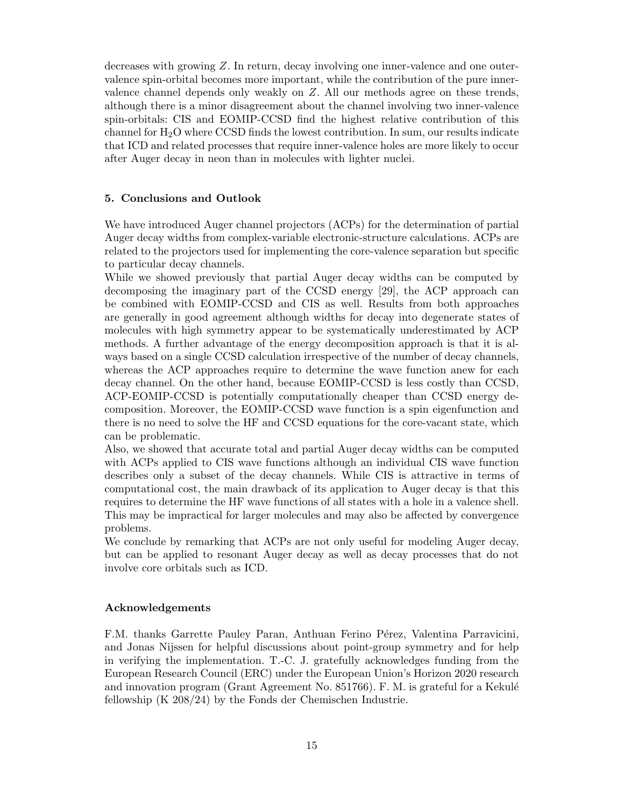decreases with growing Z. In return, decay involving one inner-valence and one outervalence spin-orbital becomes more important, while the contribution of the pure innervalence channel depends only weakly on Z. All our methods agree on these trends, although there is a minor disagreement about the channel involving two inner-valence spin-orbitals: CIS and EOMIP-CCSD find the highest relative contribution of this channel for  $H_2O$  where CCSD finds the lowest contribution. In sum, our results indicate that ICD and related processes that require inner-valence holes are more likely to occur after Auger decay in neon than in molecules with lighter nuclei.

## 5. Conclusions and Outlook

We have introduced Auger channel projectors (ACPs) for the determination of partial Auger decay widths from complex-variable electronic-structure calculations. ACPs are related to the projectors used for implementing the core-valence separation but specific to particular decay channels.

While we showed previously that partial Auger decay widths can be computed by decomposing the imaginary part of the CCSD energy [29], the ACP approach can be combined with EOMIP-CCSD and CIS as well. Results from both approaches are generally in good agreement although widths for decay into degenerate states of molecules with high symmetry appear to be systematically underestimated by ACP methods. A further advantage of the energy decomposition approach is that it is always based on a single CCSD calculation irrespective of the number of decay channels, whereas the ACP approaches require to determine the wave function anew for each decay channel. On the other hand, because EOMIP-CCSD is less costly than CCSD, ACP-EOMIP-CCSD is potentially computationally cheaper than CCSD energy decomposition. Moreover, the EOMIP-CCSD wave function is a spin eigenfunction and there is no need to solve the HF and CCSD equations for the core-vacant state, which can be problematic.

Also, we showed that accurate total and partial Auger decay widths can be computed with ACPs applied to CIS wave functions although an individual CIS wave function describes only a subset of the decay channels. While CIS is attractive in terms of computational cost, the main drawback of its application to Auger decay is that this requires to determine the HF wave functions of all states with a hole in a valence shell. This may be impractical for larger molecules and may also be affected by convergence problems.

We conclude by remarking that ACPs are not only useful for modeling Auger decay, but can be applied to resonant Auger decay as well as decay processes that do not involve core orbitals such as ICD.

## Acknowledgements

F.M. thanks Garrette Pauley Paran, Anthuan Ferino Pérez, Valentina Parravicini, and Jonas Nijssen for helpful discussions about point-group symmetry and for help in verifying the implementation. T.-C. J. gratefully acknowledges funding from the European Research Council (ERC) under the European Union's Horizon 2020 research and innovation program (Grant Agreement No. 851766). F. M. is grateful for a Kekulé fellowship (K 208/24) by the Fonds der Chemischen Industrie.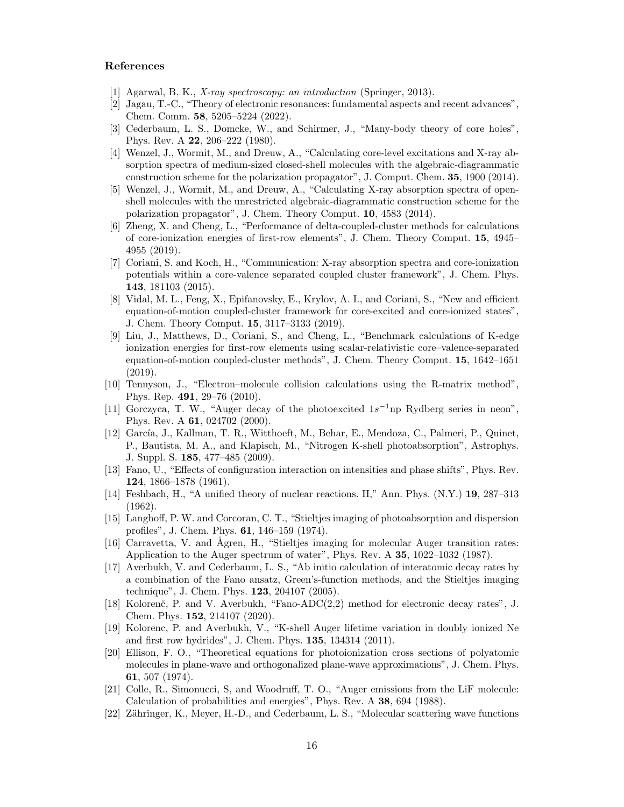## References

- [1] Agarwal, B. K., X-ray spectroscopy: an introduction (Springer, 2013).
- [2] Jagau, T.-C., "Theory of electronic resonances: fundamental aspects and recent advances", Chem. Comm. 58, 5205–5224 (2022).
- [3] Cederbaum, L. S., Domcke, W., and Schirmer, J., "Many-body theory of core holes", Phys. Rev. A 22, 206–222 (1980).
- [4] Wenzel, J., Wormit, M., and Dreuw, A., "Calculating core-level excitations and X-ray absorption spectra of medium-sized closed-shell molecules with the algebraic-diagrammatic construction scheme for the polarization propagator", J. Comput. Chem. 35, 1900 (2014).
- [5] Wenzel, J., Wormit, M., and Dreuw, A., "Calculating X-ray absorption spectra of openshell molecules with the unrestricted algebraic-diagrammatic construction scheme for the polarization propagator", J. Chem. Theory Comput. 10, 4583 (2014).
- [6] Zheng, X. and Cheng, L., "Performance of delta-coupled-cluster methods for calculations of core-ionization energies of first-row elements", J. Chem. Theory Comput. 15, 4945– 4955 (2019).
- [7] Coriani, S. and Koch, H., "Communication: X-ray absorption spectra and core-ionization potentials within a core-valence separated coupled cluster framework", J. Chem. Phys. 143, 181103 (2015).
- [8] Vidal, M. L., Feng, X., Epifanovsky, E., Krylov, A. I., and Coriani, S., "New and efficient equation-of-motion coupled-cluster framework for core-excited and core-ionized states", J. Chem. Theory Comput. 15, 3117–3133 (2019).
- [9] Liu, J., Matthews, D., Coriani, S., and Cheng, L., "Benchmark calculations of K-edge ionization energies for first-row elements using scalar-relativistic core–valence-separated equation-of-motion coupled-cluster methods", J. Chem. Theory Comput. 15, 1642–1651 (2019).
- [10] Tennyson, J., "Electron–molecule collision calculations using the R-matrix method", Phys. Rep. 491, 29–76 (2010).
- [11] Gorczyca, T. W., "Auger decay of the photoexcited  $1s^{-1}$ np Rydberg series in neon", Phys. Rev. A 61, 024702 (2000).
- [12] García, J., Kallman, T. R., Witthoeft, M., Behar, E., Mendoza, C., Palmeri, P., Quinet, P., Bautista, M. A., and Klapisch, M., "Nitrogen K-shell photoabsorption", Astrophys. J. Suppl. S. 185, 477–485 (2009).
- [13] Fano, U., "Effects of configuration interaction on intensities and phase shifts", Phys. Rev. 124, 1866–1878 (1961).
- [14] Feshbach, H., "A unified theory of nuclear reactions. II," Ann. Phys. (N.Y.) 19, 287–313 (1962).
- [15] Langhoff, P. W. and Corcoran, C. T., "Stieltjes imaging of photoabsorption and dispersion profiles", J. Chem. Phys. 61, 146–159 (1974).
- [16] Carravetta, V. and Ågren, H., "Stieltjes imaging for molecular Auger transition rates: Application to the Auger spectrum of water", Phys. Rev. A 35, 1022–1032 (1987).
- [17] Averbukh, V. and Cederbaum, L. S., "Ab initio calculation of interatomic decay rates by a combination of the Fano ansatz, Green's-function methods, and the Stieltjes imaging technique", J. Chem. Phys. 123, 204107 (2005).
- [18] Kolorenč, P. and V. Averbukh, "Fano-ADC(2,2) method for electronic decay rates", J. Chem. Phys. 152, 214107 (2020).
- [19] Kolorenc, P. and Averbukh, V., "K-shell Auger lifetime variation in doubly ionized Ne and first row hydrides", J. Chem. Phys. 135, 134314 (2011).
- [20] Ellison, F. O., "Theoretical equations for photoionization cross sections of polyatomic molecules in plane-wave and orthogonalized plane-wave approximations", J. Chem. Phys. 61, 507 (1974).
- [21] Colle, R., Simonucci, S, and Woodruff, T. O., "Auger emissions from the LiF molecule: Calculation of probabilities and energies", Phys. Rev. A 38, 694 (1988).
- [22] Zähringer, K., Meyer, H.-D., and Cederbaum, L. S., "Molecular scattering wave functions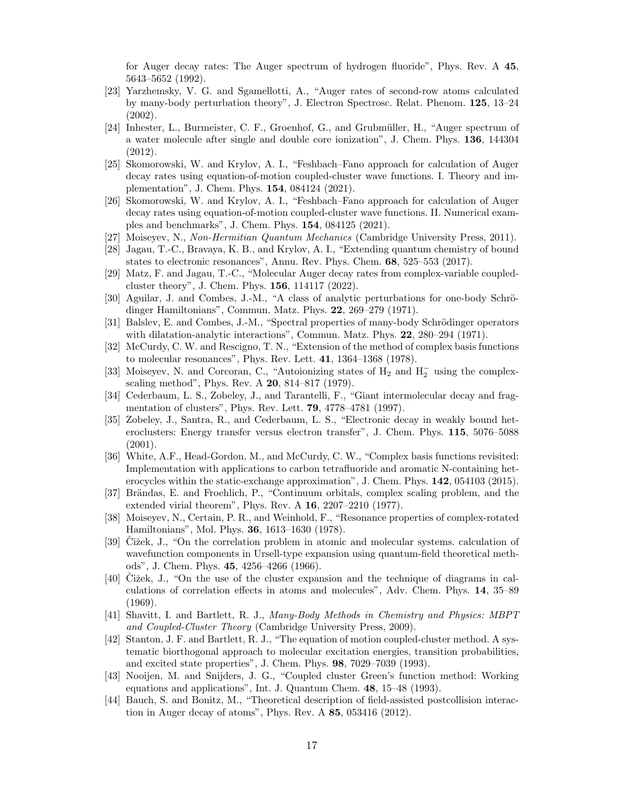for Auger decay rates: The Auger spectrum of hydrogen fluoride", Phys. Rev. A 45, 5643–5652 (1992).

- [23] Yarzhemsky, V. G. and Sgamellotti, A., "Auger rates of second-row atoms calculated by many-body perturbation theory", J. Electron Spectrosc. Relat. Phenom. 125, 13–24 (2002).
- [24] Inhester, L., Burmeister, C. F., Groenhof, G., and Grubmüller, H., "Auger spectrum of a water molecule after single and double core ionization", J. Chem. Phys. 136, 144304 (2012).
- [25] Skomorowski, W. and Krylov, A. I., "Feshbach–Fano approach for calculation of Auger decay rates using equation-of-motion coupled-cluster wave functions. I. Theory and implementation", J. Chem. Phys. 154, 084124 (2021).
- [26] Skomorowski, W. and Krylov, A. I., "Feshbach–Fano approach for calculation of Auger decay rates using equation-of-motion coupled-cluster wave functions. II. Numerical examples and benchmarks", J. Chem. Phys. 154, 084125 (2021).
- [27] Moiseyev, N., Non-Hermitian Quantum Mechanics (Cambridge University Press, 2011).
- [28] Jagau, T.-C., Bravaya, K. B., and Krylov, A. I., "Extending quantum chemistry of bound states to electronic resonances", Annu. Rev. Phys. Chem. 68, 525–553 (2017).
- [29] Matz, F. and Jagau, T.-C., "Molecular Auger decay rates from complex-variable coupledcluster theory", J. Chem. Phys. 156, 114117 (2022).
- [30] Aguilar, J. and Combes, J.-M., "A class of analytic perturbations for one-body Schrödinger Hamiltonians", Commun. Matz. Phys. 22, 269–279 (1971).
- [31] Balslev, E. and Combes, J.-M., "Spectral properties of many-body Schrödinger operators" with dilatation-analytic interactions", Commun. Matz. Phys. 22, 280–294 (1971).
- [32] McCurdy, C. W. and Rescigno, T. N., "Extension of the method of complex basis functions to molecular resonances", Phys. Rev. Lett. 41, 1364–1368 (1978).
- [33] Moiseyev, N. and Corcoran, C., "Autoionizing states of  $H_2$  and  $H_2^-$  using the complexscaling method", Phys. Rev. A 20, 814–817 (1979).
- [34] Cederbaum, L. S., Zobeley, J., and Tarantelli, F., "Giant intermolecular decay and fragmentation of clusters", Phys. Rev. Lett. 79, 4778–4781 (1997).
- [35] Zobeley, J., Santra, R., and Cederbaum, L. S., "Electronic decay in weakly bound heteroclusters: Energy transfer versus electron transfer", J. Chem. Phys. 115, 5076–5088 (2001).
- [36] White, A.F., Head-Gordon, M., and McCurdy, C. W., "Complex basis functions revisited: Implementation with applications to carbon tetrafluoride and aromatic N-containing heterocycles within the static-exchange approximation", J. Chem. Phys. **142**, 054103 (2015).
- [37] Brändas, E. and Froehlich, P., "Continuum orbitals, complex scaling problem, and the extended virial theorem", Phys. Rev. A 16, 2207–2210 (1977).
- [38] Moiseyev, N., Certain, P. R., and Weinhold, F., "Resonance properties of complex-rotated Hamiltonians", Mol. Phys. 36, 1613–1630 (1978).
- [39] Cižek, J., "On the correlation problem in atomic and molecular systems. calculation of wavefunction components in Ursell-type expansion using quantum-field theoretical methods", J. Chem. Phys. 45, 4256–4266 (1966).
- $[40]$  Cižek, J., "On the use of the cluster expansion and the technique of diagrams in calculations of correlation effects in atoms and molecules", Adv. Chem. Phys. 14, 35–89 (1969).
- [41] Shavitt, I. and Bartlett, R. J., Many-Body Methods in Chemistry and Physics: MBPT and Coupled-Cluster Theory (Cambridge University Press, 2009).
- [42] Stanton, J. F. and Bartlett, R. J., "The equation of motion coupled-cluster method. A systematic biorthogonal approach to molecular excitation energies, transition probabilities, and excited state properties", J. Chem. Phys. 98, 7029–7039 (1993).
- [43] Nooijen, M. and Snijders, J. G., "Coupled cluster Green's function method: Working equations and applications", Int. J. Quantum Chem. 48, 15–48 (1993).
- [44] Bauch, S. and Bonitz, M., "Theoretical description of field-assisted postcollision interaction in Auger decay of atoms", Phys. Rev. A 85, 053416 (2012).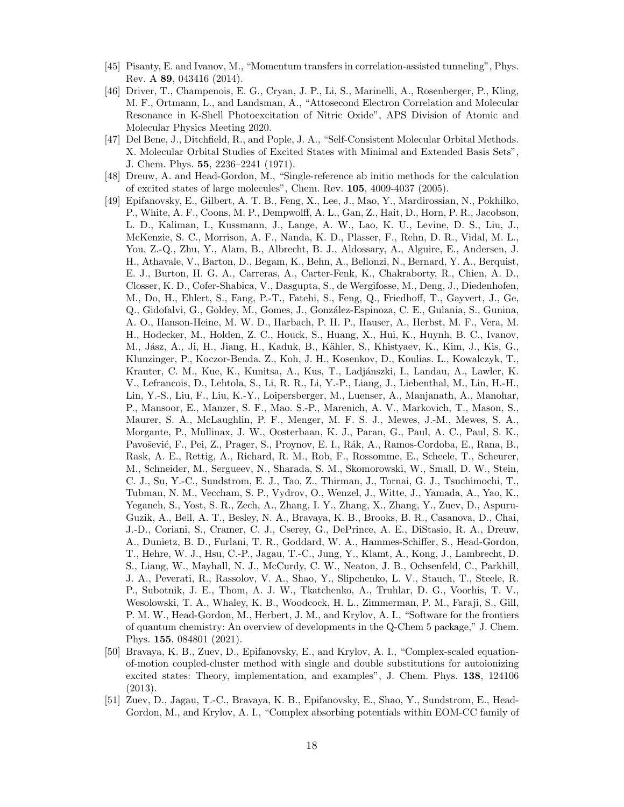- [45] Pisanty, E. and Ivanov, M., "Momentum transfers in correlation-assisted tunneling", Phys. Rev. A 89, 043416 (2014).
- [46] Driver, T., Champenois, E. G., Cryan, J. P., Li, S., Marinelli, A., Rosenberger, P., Kling, M. F., Ortmann, L., and Landsman, A., "Attosecond Electron Correlation and Molecular Resonance in K-Shell Photoexcitation of Nitric Oxide", APS Division of Atomic and Molecular Physics Meeting 2020.
- [47] Del Bene, J., Ditchfield, R., and Pople, J. A., "Self-Consistent Molecular Orbital Methods. X. Molecular Orbital Studies of Excited States with Minimal and Extended Basis Sets", J. Chem. Phys. 55, 2236–2241 (1971).
- [48] Dreuw, A. and Head-Gordon, M., "Single-reference ab initio methods for the calculation of excited states of large molecules", Chem. Rev. 105, 4009-4037 (2005).
- [49] Epifanovsky, E., Gilbert, A. T. B., Feng, X., Lee, J., Mao, Y., Mardirossian, N., Pokhilko, P., White, A. F., Coons, M. P., Dempwolff, A. L., Gan, Z., Hait, D., Horn, P. R., Jacobson, L. D., Kaliman, I., Kussmann, J., Lange, A. W., Lao, K. U., Levine, D. S., Liu, J., McKenzie, S. C., Morrison, A. F., Nanda, K. D., Plasser, F., Rehn, D. R., Vidal, M. L., You, Z.-Q., Zhu, Y., Alam, B., Albrecht, B. J., Aldossary, A., Alguire, E., Andersen, J. H., Athavale, V., Barton, D., Begam, K., Behn, A., Bellonzi, N., Bernard, Y. A., Berquist, E. J., Burton, H. G. A., Carreras, A., Carter-Fenk, K., Chakraborty, R., Chien, A. D., Closser, K. D., Cofer-Shabica, V., Dasgupta, S., de Wergifosse, M., Deng, J., Diedenhofen, M., Do, H., Ehlert, S., Fang, P.-T., Fatehi, S., Feng, Q., Friedhoff, T., Gayvert, J., Ge, Q., Gidofalvi, G., Goldey, M., Gomes, J., Gonz´alez-Espinoza, C. E., Gulania, S., Gunina, A. O., Hanson-Heine, M. W. D., Harbach, P. H. P., Hauser, A., Herbst, M. F., Vera, M. H., Hodecker, M., Holden, Z. C., Houck, S., Huang, X., Hui, K., Huynh, B. C., Ivanov, M., Jász, A., Ji, H., Jiang, H., Kaduk, B., Kähler, S., Khistyaev, K., Kim, J., Kis, G., Klunzinger, P., Koczor-Benda. Z., Koh, J. H., Kosenkov, D., Koulias. L., Kowalczyk, T., Krauter, C. M., Kue, K., Kunitsa, A., Kus, T., Ladjánszki, I., Landau, A., Lawler, K. V., Lefrancois, D., Lehtola, S., Li, R. R., Li, Y.-P., Liang, J., Liebenthal, M., Lin, H.-H., Lin, Y.-S., Liu, F., Liu, K.-Y., Loipersberger, M., Luenser, A., Manjanath, A., Manohar, P., Mansoor, E., Manzer, S. F., Mao. S.-P., Marenich, A. V., Markovich, T., Mason, S., Maurer, S. A., McLaughlin, P. F., Menger, M. F. S. J., Mewes, J.-M., Mewes, S. A., Morgante, P., Mullinax, J. W., Oosterbaan, K. J., Paran, G., Paul, A. C., Paul, S. K., Pavošević, F., Pei, Z., Prager, S., Proynov, E. I., Rák, A., Ramos-Cordoba, E., Rana, B., Rask, A. E., Rettig, A., Richard, R. M., Rob, F., Rossomme, E., Scheele, T., Scheurer, M., Schneider, M., Sergueev, N., Sharada, S. M., Skomorowski, W., Small, D. W., Stein, C. J., Su, Y.-C., Sundstrom, E. J., Tao, Z., Thirman, J., Tornai, G. J., Tsuchimochi, T., Tubman, N. M., Veccham, S. P., Vydrov, O., Wenzel, J., Witte, J., Yamada, A., Yao, K., Yeganeh, S., Yost, S. R., Zech, A., Zhang, I. Y., Zhang, X., Zhang, Y., Zuev, D., Aspuru-Guzik, A., Bell, A. T., Besley, N. A., Bravaya, K. B., Brooks, B. R., Casanova, D., Chai, J.-D., Coriani, S., Cramer, C. J., Cserey, G., DePrince, A. E., DiStasio, R. A., Dreuw, A., Dunietz, B. D., Furlani, T. R., Goddard, W. A., Hammes-Schiffer, S., Head-Gordon, T., Hehre, W. J., Hsu, C.-P., Jagau, T.-C., Jung, Y., Klamt, A., Kong, J., Lambrecht, D. S., Liang, W., Mayhall, N. J., McCurdy, C. W., Neaton, J. B., Ochsenfeld, C., Parkhill, J. A., Peverati, R., Rassolov, V. A., Shao, Y., Slipchenko, L. V., Stauch, T., Steele, R. P., Subotnik, J. E., Thom, A. J. W., Tkatchenko, A., Truhlar, D. G., Voorhis, T. V., Wesolowski, T. A., Whaley, K. B., Woodcock, H. L., Zimmerman, P. M., Faraji, S., Gill, P. M. W., Head-Gordon, M., Herbert, J. M., and Krylov, A. I., "Software for the frontiers of quantum chemistry: An overview of developments in the Q-Chem 5 package," J. Chem. Phys. 155, 084801 (2021).
- [50] Bravaya, K. B., Zuev, D., Epifanovsky, E., and Krylov, A. I., "Complex-scaled equationof-motion coupled-cluster method with single and double substitutions for autoionizing excited states: Theory, implementation, and examples", J. Chem. Phys. 138, 124106 (2013).
- [51] Zuev, D., Jagau, T.-C., Bravaya, K. B., Epifanovsky, E., Shao, Y., Sundstrom, E., Head-Gordon, M., and Krylov, A. I., "Complex absorbing potentials within EOM-CC family of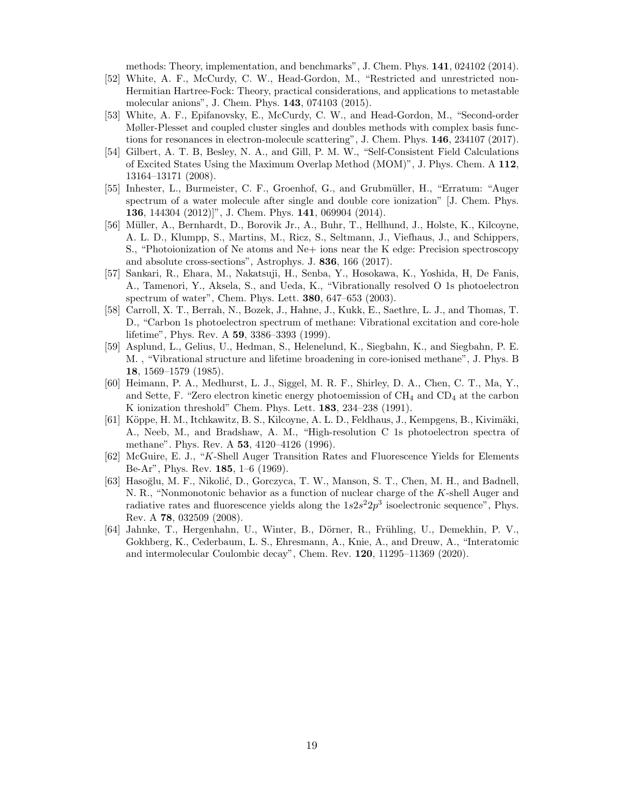methods: Theory, implementation, and benchmarks", J. Chem. Phys. 141, 024102 (2014).

- [52] White, A. F., McCurdy, C. W., Head-Gordon, M., "Restricted and unrestricted non-Hermitian Hartree-Fock: Theory, practical considerations, and applications to metastable molecular anions", J. Chem. Phys. 143, 074103 (2015).
- [53] White, A. F., Epifanovsky, E., McCurdy, C. W., and Head-Gordon, M., "Second-order Møller-Plesset and coupled cluster singles and doubles methods with complex basis functions for resonances in electron-molecule scattering", J. Chem. Phys. 146, 234107 (2017).
- [54] Gilbert, A. T. B, Besley, N. A., and Gill, P. M. W., "Self-Consistent Field Calculations of Excited States Using the Maximum Overlap Method (MOM)", J. Phys. Chem. A 112, 13164–13171 (2008).
- [55] Inhester, L., Burmeister, C. F., Groenhof, G., and Grubmüller, H., "Erratum: "Auger spectrum of a water molecule after single and double core ionization" [J. Chem. Phys. 136, 144304 (2012)]", J. Chem. Phys. 141, 069904 (2014).
- [56] Müller, A., Bernhardt, D., Borovik Jr., A., Buhr, T., Hellhund, J., Holste, K., Kilcoyne. A. L. D., Klumpp, S., Martins, M., Ricz, S., Seltmann, J., Viefhaus, J., and Schippers, S., "Photoionization of Ne atoms and Ne+ ions near the K edge: Precision spectroscopy and absolute cross-sections", Astrophys. J. 836, 166 (2017).
- [57] Sankari, R., Ehara, M., Nakatsuji, H., Senba, Y., Hosokawa, K., Yoshida, H, De Fanis, A., Tamenori, Y., Aksela, S., and Ueda, K., "Vibrationally resolved O 1s photoelectron spectrum of water", Chem. Phys. Lett. 380, 647–653 (2003).
- [58] Carroll, X. T., Berrah, N., Bozek, J., Hahne, J., Kukk, E., Saethre, L. J., and Thomas, T. D., "Carbon 1s photoelectron spectrum of methane: Vibrational excitation and core-hole lifetime", Phys. Rev. A 59, 3386–3393 (1999).
- [59] Asplund, L., Gelius, U., Hedman, S., Helenelund, K., Siegbahn, K., and Siegbahn, P. E. M. , "Vibrational structure and lifetime broadening in core-ionised methane", J. Phys. B 18, 1569–1579 (1985).
- [60] Heimann, P. A., Medhurst, L. J., Siggel, M. R. F., Shirley, D. A., Chen, C. T., Ma, Y., and Sette, F. "Zero electron kinetic energy photoemission of  $\text{CH}_4$  and  $\text{CD}_4$  at the carbon K ionization threshold" Chem. Phys. Lett. 183, 234–238 (1991).
- [61] Köppe, H. M., Itchkawitz, B. S., Kilcoyne, A. L. D., Feldhaus, J., Kempgens, B., Kivimäki, A., Neeb, M., and Bradshaw, A. M., "High-resolution C 1s photoelectron spectra of methane". Phys. Rev. A 53, 4120–4126 (1996).
- [62] McGuire, E. J., "K-Shell Auger Transition Rates and Fluorescence Yields for Elements Be-Ar", Phys. Rev. 185, 1–6 (1969).
- [63] Hasoğlu, M. F., Nikolić, D., Gorczyca, T. W., Manson, S. T., Chen, M. H., and Badnell, N. R., "Nonmonotonic behavior as a function of nuclear charge of the K-shell Auger and radiative rates and fluorescence yields along the  $1s2s^22p^3$  isoelectronic sequence", Phys. Rev. A 78, 032509 (2008).
- [64] Jahnke, T., Hergenhahn, U., Winter, B., Dörner, R., Frühling, U., Demekhin, P. V., Gokhberg, K., Cederbaum, L. S., Ehresmann, A., Knie, A., and Dreuw, A., "Interatomic and intermolecular Coulombic decay", Chem. Rev. 120, 11295–11369 (2020).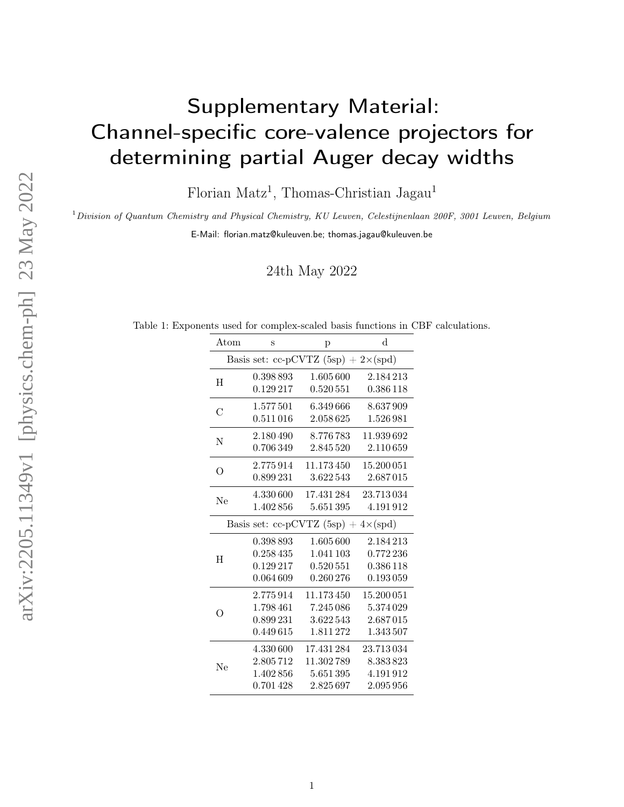# Supplementary Material: Channel-specific core-valence projectors for determining partial Auger decay widths

Florian Matz<sup>1</sup>, Thomas-Christian Jagau<sup>1</sup>

 $1$ Division of Quantum Chemistry and Physical Chemistry, KU Leuven, Celestijnenlaan 200F, 3001 Leuven, Belgium

E-Mail: florian.matz@kuleuven.be; thomas.jagau@kuleuven.be

24th May 2022

Table 1: Exponents used for complex-scaled basis functions in CBF calculations.

| Atom          | S         | p                                           | $\rm d$    |
|---------------|-----------|---------------------------------------------|------------|
|               |           | Basis set: cc-pCVTZ $(5sp) + 2\times (spd)$ |            |
| H             | 0.398893  | 1.605 600                                   | 2.184213   |
|               | 0.129217  | 0.520 551                                   | 0.386118   |
| $\mathcal{C}$ | 1.577501  | 6.349666                                    | 8.637909   |
|               | 0.511016  | 2.058625                                    | 1.526 981  |
| N             | 2.180490  | 8.776783                                    | 11.939 692 |
|               | 0.706349  | 2.845 520                                   | 2.110659   |
| O             | 2.775914  | 11.173450                                   | 15.200 051 |
|               | 0.899 231 | 3.622543                                    | 2.687015   |
| Ne            | 4.330 600 | 17.431 284                                  | 23.713034  |
|               | 1.402856  | 5.651395                                    | 4.191912   |
|               |           | Basis set: cc-pCVTZ $(5sp) + 4\times(spd)$  |            |
|               | 0.398893  | 1.605 600                                   | 2.184213   |
| H             | 0.258435  | 1.041 103                                   | 0.772 236  |
|               | 0.129217  | 0.520551                                    | 0.386 118  |
|               | 0.064609  | 0.260276                                    | 0.193059   |
|               | 2.775914  | 11.173450                                   | 15.200 051 |
| ∩             | 1.798 461 | 7.245 086                                   | 5.374 029  |
|               | 0.899231  | 3.622543                                    | 2.687015   |
|               | 0.449615  | 1.811 272                                   | 1.343 507  |
|               | 4.330600  | 17.431 284                                  | 23.713034  |
| Ne            | 2.805712  | 11.302789                                   | 8.383823   |
|               | 1.402856  | 5.651395                                    | 4.191912   |
|               | 0.701 428 | 2.825697                                    | 2.095 956  |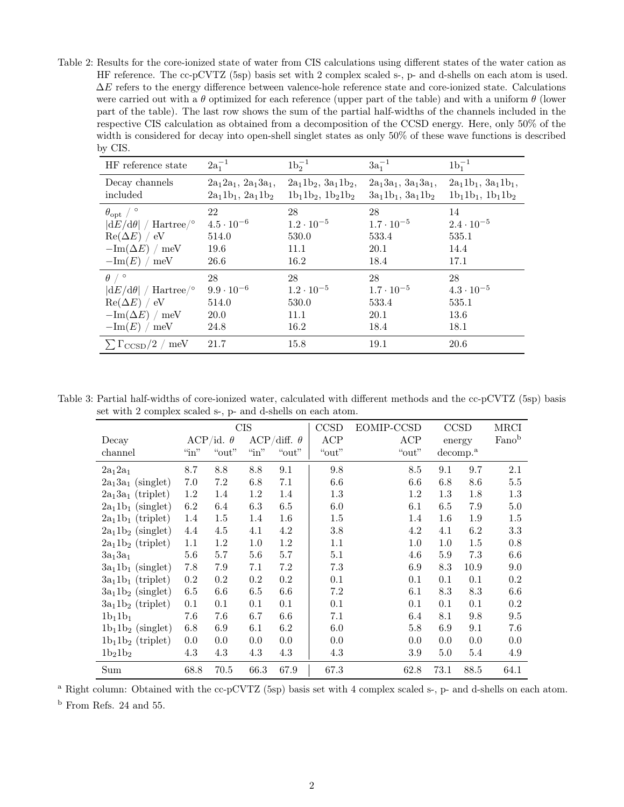Table 2: Results for the core-ionized state of water from CIS calculations using different states of the water cation as HF reference. The cc-pCVTZ (5sp) basis set with 2 complex scaled s-, p- and d-shells on each atom is used.  $\Delta E$  refers to the energy difference between valence-hole reference state and core-ionized state. Calculations were carried out with a  $\theta$  optimized for each reference (upper part of the table) and with a uniform  $\theta$  (lower part of the table). The last row shows the sum of the partial half-widths of the channels included in the respective CIS calculation as obtained from a decomposition of the CCSD energy. Here, only 50% of the width is considered for decay into open-shell singlet states as only 50% of these wave functions is described by CIS.

| HF reference state                    | $2a_1^{-1}$               | $1b_2^{-1}$               | $3a_1^{-1}$               | $1b_1^{-1}$               |
|---------------------------------------|---------------------------|---------------------------|---------------------------|---------------------------|
| Decay channels                        | $2a_12a_1$ , $2a_13a_1$ , | $2a_11b_2$ , $3a_11b_2$ , | $2a_13a_1$ , $3a_13a_1$ , | $2a_11b_1$ , $3a_11b_1$ , |
| included                              | $2a_11b_1$ , $2a_11b_2$   | $1b_11b_2$ , $1b_21b_2$   | $3a_11b_1$ , $3a_11b_2$   | $1b_11b_1$ , $1b_11b_2$   |
| $\theta_{\rm opt}$ / $\circ$          | 22                        | 28                        | 28                        | 14                        |
| $ dE/d\theta /$ Hartree/ <sup>o</sup> | $4.5 \cdot 10^{-6}$       | $1.2 \cdot 10^{-5}$       | $1.7 \cdot 10^{-5}$       | $2.4 \cdot 10^{-5}$       |
| $Re(\Delta E) / eV$                   | 514.0                     | 530.0                     | 533.4                     | 535.1                     |
| $-\text{Im}(\Delta E) / \text{meV}$   | 19.6                      | 11.1                      | 20.1                      | 14.4                      |
| $-\text{Im}(E) / \text{meV}$          | 26.6                      | 16.2                      | 18.4                      | 17.1                      |
| $\theta$ / $\circ$                    | 28                        | 28                        | 28                        | 28                        |
| $ dE/d\theta /$ Hartree/ <sup>o</sup> | $9.9 \cdot 10^{-6}$       | $1.2 \cdot 10^{-5}$       | $1.7 \cdot 10^{-5}$       | $4.3 \cdot 10^{-5}$       |
| $Re(\Delta E) / eV$                   | 514.0                     | 530.0                     | 533.4                     | 535.1                     |
| $-\text{Im}(\Delta E) / \text{meV}$   | <b>20.0</b>               | 11.1                      | 20.1                      | 13.6                      |
| $-\text{Im}(E) / \text{meV}$          | 24.8                      | 16.2                      | 18.4                      | 18.1                      |
| $\sum \Gamma_{\rm CCSD}/2$ / meV      | 21.7                      | 15.8                      | 19.1                      | 20.6                      |

Table 3: Partial half-widths of core-ionized water, calculated with different methods and the cc-pCVTZ (5sp) basis set with 2 complex scaled s-, p- and d-shells on each atom.

|                      |              | <b>CIS</b>       |              | CCSD               | EOMIP-CCSD |         | CCSD                 | MRCI   |         |
|----------------------|--------------|------------------|--------------|--------------------|------------|---------|----------------------|--------|---------|
| Decay                |              | ACP/id. $\theta$ |              | ACP/diff. $\theta$ | ACP        | ACP     |                      | energy | Fanob   |
| channel              | $\lq\lq$ in" | "out"            | $\lq\lq$ in" | ``out"             | "out"      | "out"   | decomp. <sup>a</sup> |        |         |
| $2a_1 2a_1$          | 8.7          | 8.8              | 8.8          | 9.1                | 9.8        | 8.5     | 9.1                  | 9.7    | 2.1     |
| $2a_13a_1$ (singlet) | 7.0          | 7.2              | 6.8          | 7.1                | 6.6        | 6.6     | 6.8                  | 8.6    | 5.5     |
| $2a_13a_1$ (triplet) | 1.2          | 1.4              | 1.2          | 1.4                | 1.3        | 1.2     | 1.3                  | 1.8    | 1.3     |
| $2a_11b_1$ (singlet) | 6.2          | 6.4              | 6.3          | 6.5                | 6.0        | 6.1     | 6.5                  | 7.9    | 5.0     |
| $2a_11b_1$ (triplet) | 1.4          | 1.5              | 1.4          | $1.6\,$            | 1.5        | 1.4     | 1.6                  | 1.9    | 1.5     |
| $2a_11b_2$ (singlet) | 4.4          | 4.5              | 4.1          | 4.2                | 3.8        | 4.2     | 4.1                  | 6.2    | 3.3     |
| $2a_11b_2$ (triplet) | 1.1          | 1.2              | 1.0          | 1.2                | 1.1        | 1.0     | 1.0                  | 1.5    | 0.8     |
| $3a_13a_1$           | 5.6          | 5.7              | 5.6          | 5.7                | 5.1        | 4.6     | 5.9                  | 7.3    | $6.6\,$ |
| $3a_11b_1$ (singlet) | 7.8          | 7.9              | 7.1          | 7.2                | 7.3        | 6.9     | 8.3                  | 10.9   | 9.0     |
| $3a_11b_1$ (triplet) | 0.2          | $0.2\,$          | $0.2\,$      | $0.2\,$            | 0.1        | 0.1     | 0.1                  | 0.1    | 0.2     |
| $3a_11b_2$ (singlet) | 6.5          | 6.6              | 6.5          | $6.6\,$            | 7.2        | 6.1     | 8.3                  | 8.3    | 6.6     |
| $3a_11b_2$ (triplet) | 0.1          | 0.1              | 0.1          | 0.1                | 0.1        | 0.1     | 0.1                  | 0.1    | 0.2     |
| $1b_11b_1$           | 7.6          | 7.6              | 6.7          | $6.6\,$            | 7.1        | 6.4     | 8.1                  | 9.8    | $\,9.5$ |
| $1b_11b_2$ (singlet) | 6.8          | 6.9              | 6.1          | 6.2                | 6.0        | 5.8     | 6.9                  | 9.1    | 7.6     |
| $1b_11b_2$ (triplet) | 0.0          | 0.0              | 0.0          | 0.0                | 0.0        | 0.0     | 0.0                  | 0.0    | 0.0     |
| $1b_21b_2$           | 4.3          | 4.3              | 4.3          | 4.3                | 4.3        | $3.9\,$ | 5.0                  | 5.4    | 4.9     |
| Sum                  | 68.8         | 70.5             | 66.3         | 67.9               | 67.3       | 62.8    | 73.1                 | 88.5   | 64.1    |

<sup>a</sup> Right column: Obtained with the cc-pCVTZ (5sp) basis set with 4 complex scaled s-, p- and d-shells on each atom.

 $^{\rm b}$  From Refs. 24 and 55.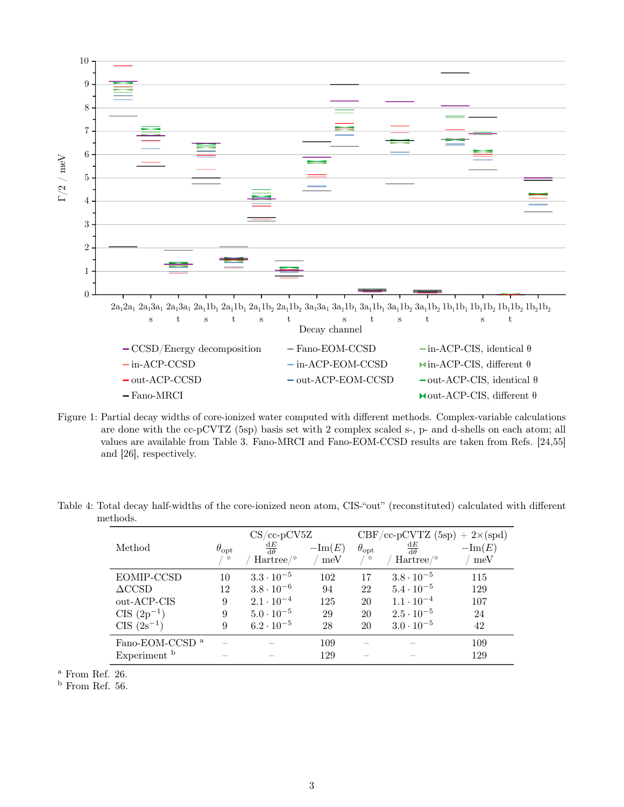

Figure 1: Partial decay widths of core-ionized water computed with different methods. Complex-variable calculations are done with the cc-pCVTZ (5sp) basis set with 2 complex scaled s-, p- and d-shells on each atom; all values are available from Table 3. Fano-MRCI and Fano-EOM-CCSD results are taken from Refs. [24,55] and [26], respectively.

Table 4: Total decay half-widths of the core-ionized neon atom, CIS-"out" (reconstituted) calculated with different methods.

| $\theta_{\rm opt}$<br>$\circ$ | $\frac{\mathrm{d}E}{\mathrm{d}\theta}$ | $-\text{Im}(E)$      | $\theta_{\rm opt}$<br>$\circ$ | $\frac{\mathrm{d}E}{\mathrm{d}\theta}$ | $-\text{Im}(E)$<br>meV                                   |
|-------------------------------|----------------------------------------|----------------------|-------------------------------|----------------------------------------|----------------------------------------------------------|
|                               |                                        |                      |                               |                                        |                                                          |
| 10                            | $3.3 \cdot 10^{-5}$                    | 102                  | 17                            | $3.8 \cdot 10^{-5}$                    | 115                                                      |
| 12                            | $3.8 \cdot 10^{-6}$                    | 94                   | 22                            | $5.4 \cdot 10^{-5}$                    | 129                                                      |
| 9                             | $2.1 \cdot 10^{-4}$                    | 125                  | 20                            | $1.1 \cdot 10^{-4}$                    | 107                                                      |
| 9                             | $5.0 \cdot 10^{-5}$                    | 29                   | 20                            | $2.5 \cdot 10^{-5}$                    | 24                                                       |
| 9                             | $6.2 \cdot 10^{-5}$                    | 28                   | 20                            | $3.0 \cdot 10^{-5}$                    | 42                                                       |
|                               |                                        | 109                  |                               |                                        | 109                                                      |
|                               |                                        | 129                  |                               |                                        | 129                                                      |
|                               |                                        | Hartree <sup>o</sup> | $CS$ /cc-p $CV5Z$<br>meV      |                                        | $CBF/cc-pCVTZ (5sp) + 2\times (spd)$<br>Hartree/ $\circ$ |

<sup>a</sup> From Ref. 26.

 $<sup>b</sup>$  From Ref. 56.</sup>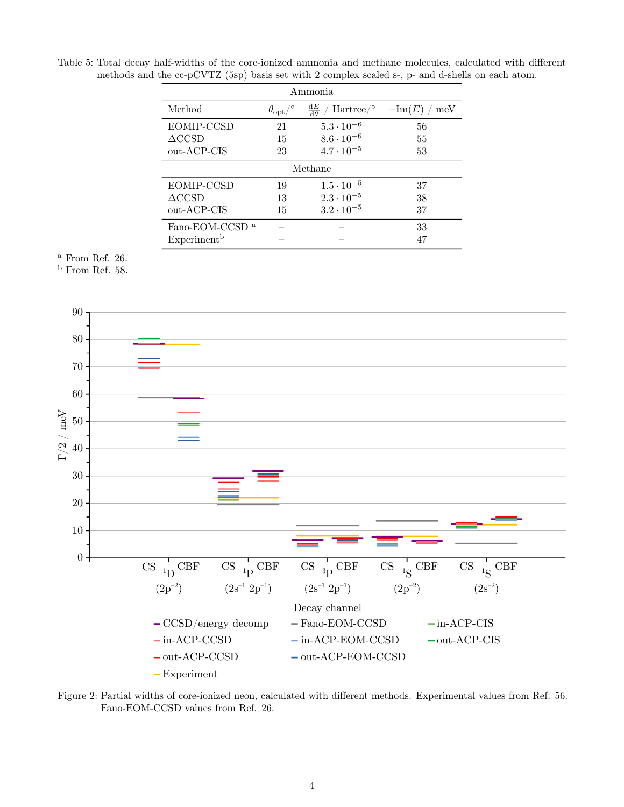Table 5: Total decay half-widths of the core-ionized ammonia and methane molecules, calculated with different methods and the cc-pCVTZ (5sp) basis set with 2 complex scaled s-, p- and d-shells on each atom.

| Ammonia                    |                                |                                                                            |                        |  |  |  |  |  |
|----------------------------|--------------------------------|----------------------------------------------------------------------------|------------------------|--|--|--|--|--|
| Method                     | $\theta_{\rm opt}/\textdegree$ | $\frac{\mathrm{d}E}{\mathrm{d}\theta}$<br>$\mu$ Hartree $\mu$ <sup>o</sup> | $-\text{Im}(E)$<br>meV |  |  |  |  |  |
| EOMIP-CCSD                 | 21                             | $5.3 \cdot 10^{-6}$                                                        | 56                     |  |  |  |  |  |
| $\Delta \text{CCSD}$       | 15                             | $8.6 \cdot 10^{-6}$                                                        | 55                     |  |  |  |  |  |
| out-ACP-CIS                | 23                             | $4.7 \cdot 10^{-5}$                                                        | 53                     |  |  |  |  |  |
|                            | Methane                        |                                                                            |                        |  |  |  |  |  |
| EOMIP-CCSD                 | 19                             | $1.5 \cdot 10^{-5}$                                                        | 37                     |  |  |  |  |  |
| $\Delta \text{CCSD}$       | 13                             | $2.3 \cdot 10^{-5}$                                                        | 38                     |  |  |  |  |  |
| out-ACP-CIS                | 15                             | $3.2 \cdot 10^{-5}$                                                        | 37                     |  |  |  |  |  |
| Fano-EOM-CCSD <sup>a</sup> |                                |                                                                            | 33                     |  |  |  |  |  |
| Experiment <sup>b</sup>    |                                |                                                                            | 47                     |  |  |  |  |  |

## $^{\rm a}$  From Ref. 26.

 $<sup>b</sup>$  From Ref. 58.</sup>



Figure 2: Partial widths of core-ionized neon, calculated with different methods. Experimental values from Ref. 56. Fano-EOM-CCSD values from Ref. 26.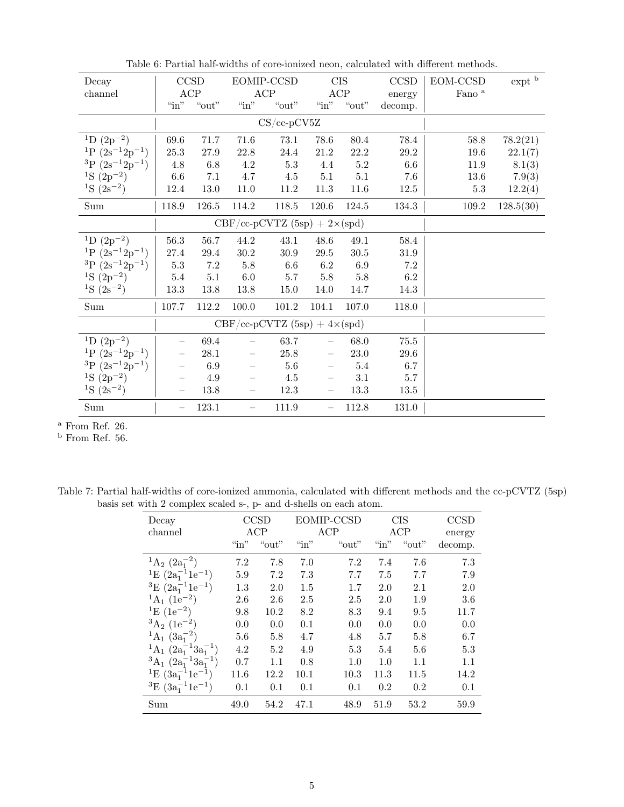| Decay                             |                          | CCSD     |                          | EOMIP-CCSD                           |                          | <b>CIS</b> | CCSD     | EOM-CCSD          | $expt$ <sup>b</sup> |
|-----------------------------------|--------------------------|----------|--------------------------|--------------------------------------|--------------------------|------------|----------|-------------------|---------------------|
| channel                           |                          | ACP      |                          | ACP                                  | ACP                      |            | energy   | Fano <sup>a</sup> |                     |
|                                   | $\omega$ in"             | " $out"$ | $``\rm in"$              | " $out$ "                            | $\lq$ in"                | "out"      | decomp.  |                   |                     |
|                                   |                          |          |                          | $CS$ /cc-p $CV5Z$                    |                          |            |          |                   |                     |
| <sup>1</sup> D $(2p^{-2})$        | 69.6                     | 71.7     | 71.6                     | 73.1                                 | 78.6                     | 80.4       | 78.4     | 58.8              | 78.2(21)            |
| <sup>1</sup> P $(2s^{-1}2p^{-1})$ | $25.3\,$                 | 27.9     | 22.8                     | 24.4                                 | 21.2                     | $22.2\,$   | $29.2\,$ | $19.6\,$          | 22.1(7)             |
| ${}^{3}P(2s^{-1}2p^{-1})$         | $4.8\,$                  | 6.8      | $4.2\,$                  | $5.3\,$                              | 4.4                      | $5.2\,$    | 6.6      | 11.9              | 8.1(3)              |
| <sup>1</sup> S $(2p^{-2})$        | $6.6\,$                  | 7.1      | 4.7                      | 4.5                                  | $5.1\,$                  | $5.1\,$    | 7.6      | 13.6              | 7.9(3)              |
| <sup>1</sup> S $(2s^{-2})$        | 12.4                     | 13.0     | 11.0                     | 11.2                                 | 11.3                     | 11.6       | 12.5     | 5.3               | 12.2(4)             |
| $\operatorname{Sum}$              | 118.9                    | 126.5    | 114.2                    | 118.5                                | 120.6                    | 124.5      | 134.3    | 109.2             | 128.5(30)           |
|                                   |                          |          |                          | $CBF/cc-pCVTZ (5sp) + 2\times (spd)$ |                          |            |          |                   |                     |
| <sup>1</sup> D $(2p^{-2})$        | 56.3                     | 56.7     | 44.2                     | 43.1                                 | 48.6                     | 49.1       | 58.4     |                   |                     |
| <sup>1</sup> P $(2s^{-1}2p^{-1})$ | $27.4\,$                 | 29.4     | $30.2\,$                 | $30.9\,$                             | $29.5\,$                 | $30.5\,$   | $31.9\,$ |                   |                     |
| ${}^{3}P(2s^{-1}2p^{-1})$         | $5.3\,$                  | $7.2\,$  | $5.8\,$                  | $6.6\,$                              | 6.2                      | 6.9        | $7.2\,$  |                   |                     |
| <sup>1</sup> S $(2p^{-2})$        | $5.4\,$                  | $5.1\,$  | $6.0\,$                  | $5.7\,$                              | $5.8\,$                  | $5.8\,$    | 6.2      |                   |                     |
| <sup>1</sup> S $(2s^{-2})$        | 13.3                     | 13.8     | 13.8                     | 15.0                                 | 14.0                     | 14.7       | 14.3     |                   |                     |
| Sum                               | 107.7                    | 112.2    | 100.0                    | 101.2                                | 104.1                    | 107.0      | 118.0    |                   |                     |
|                                   |                          |          |                          | $CBF/cc-pCVTZ (5sp) + 4\times (spd)$ |                          |            |          |                   |                     |
| <sup>1</sup> D $(2p^{-2})$        |                          | 69.4     |                          | 63.7                                 |                          | 68.0       | 75.5     |                   |                     |
| <sup>1</sup> P $(2s^{-1}2p^{-1})$ |                          | 28.1     |                          | 25.8                                 |                          | 23.0       | 29.6     |                   |                     |
| ${}^{3}P(2s^{-1}2p^{-1})$         |                          | 6.9      | $\overline{\phantom{0}}$ | $5.6\,$                              | $\overline{\phantom{m}}$ | 5.4        | 6.7      |                   |                     |
| <sup>1</sup> S $(2p^{-2})$        | $\overline{\phantom{0}}$ | 4.9      |                          | 4.5                                  | $\overline{\phantom{0}}$ | $3.1\,$    | 5.7      |                   |                     |
| <sup>1</sup> S $(2s^{-2})$        | $\overline{\phantom{a}}$ | $13.8\,$ | $\overline{\phantom{m}}$ | 12.3                                 | $\overline{\phantom{a}}$ | 13.3       | 13.5     |                   |                     |
| Sum                               | $\overline{\phantom{0}}$ | 123.1    | $\overline{\phantom{0}}$ | 111.9                                | $\overline{\phantom{0}}$ | 112.8      | 131.0    |                   |                     |

Table 6: Partial half-widths of core-ionized neon, calculated with different methods.

<sup>a</sup> From Ref. 26.

 $<sup>b</sup>$  From Ref. 56.</sup>

Table 7: Partial half-widths of core-ionized ammonia, calculated with different methods and the cc-pCVTZ (5sp) basis set with 2 complex scaled s-, p- and d-shells on each atom.  $\;$ 

| Decay<br>channel                       | <b>CCSD</b><br>ACP |       |              | EOMIP-CCSD<br>ACP | <b>CIS</b><br>ACP |       | <b>CCSD</b>       |
|----------------------------------------|--------------------|-------|--------------|-------------------|-------------------|-------|-------------------|
|                                        | $\lq$ in"          | "out" | $\lq\lq$ in" | "out"             | $\lq\lq$ in"      | "out" | energy<br>decomp. |
| $^{1}\mathrm{A}_{2}$ $(2a_{1}^{-2})$   | 7.2                | 7.8   | 7.0          | 7.2               | 7.4               | 7.6   | 7.3               |
| <sup>1</sup> E $(2a_1^{-1}1e^{-1})$    | 5.9                | 7.2   | 7.3          | 7.7               | 7.5               | 7.7   | 7.9               |
| ${}^{3}E(2a_{1}^{-1}1e^{-1})$          | 1.3                | 2.0   | 1.5          | 1.7               | 2.0               | 2.1   | 2.0               |
| ${}^{1}A_{1}$ (1e <sup>-2</sup> )      | 2.6                | 2.6   | 2.5          | 2.5               | 2.0               | 1.9   | 3.6               |
| $E(1e^{-2})$                           | 9.8                | 10.2  | 8.2          | 8.3               | 9.4               | 9.5   | 11.7              |
| ${}^{3}A_{2}$ $(1e^{-2})$              | 0.0                | 0.0   | 0.1          | 0.0               | 0.0               | 0.0   | 0.0               |
| $^{1}A_{1}$ $(3a_{1}^{-2})$            | 5.6                | 5.8   | 4.7          | 4.8               | 5.7               | 5.8   | 6.7               |
| $^{1}A_{1}$ $(2a_{1}^{-1}3a_{1}^{-1})$ | 4.2                | 5.2   | 4.9          | 5.3               | 5.4               | 5.6   | 5.3               |
| ${}^3A_1$ $(2a_1^{-1}3a_1^{-1})$       | 0.7                | 1.1   | 0.8          | 1.0               | 1.0               | 1.1   | 1.1               |
| <sup>1</sup> E $(3a_1^{-1}1e^{-1})$    | 11.6               | 12.2  | 10.1         | 10.3              | 11.3              | 11.5  | 14.2              |
| ${}^{3}E(3a_{1}^{-1}1e^{-1})$          | 0.1                | 0.1   | 0.1          | 0.1               | 0.2               | 0.2   | 0.1               |
| Sum                                    | 49.0               | 54.2  | 47.1         | 48.9              | 51.9              | 53.2  | 59.9              |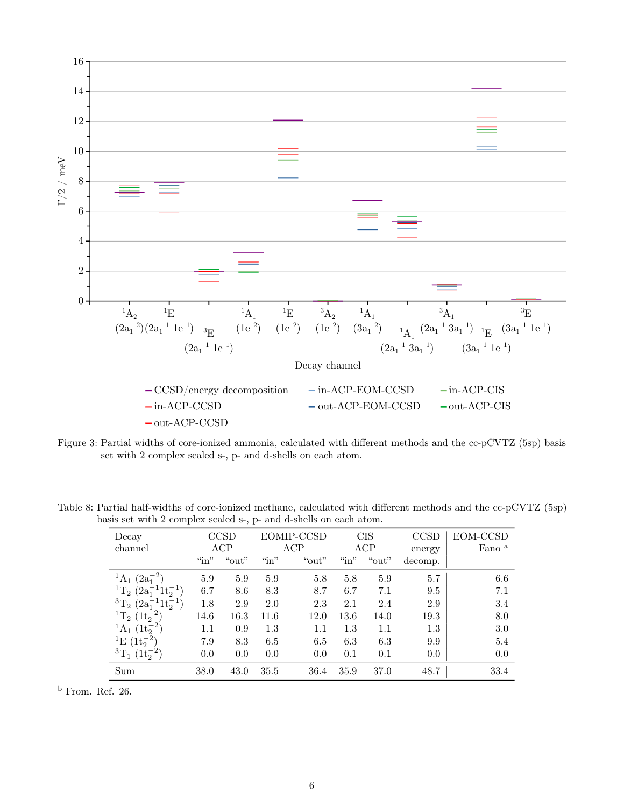

Figure 3: Partial widths of core-ionized ammonia, calculated with different methods and the cc-pCVTZ (5sp) basis set with 2 complex scaled s-, p- and d-shells on each atom.

Table 8: Partial half-widths of core-ionized methane, calculated with different methods and the cc-pCVTZ (5sp) basis set with 2 complex scaled s-, p- and d-shells on each atom.

| Decay                                     | <b>CCSD</b> |           | EOMIP-CCSD |       | <b>CIS</b> |           | <b>CCSD</b> | EOM-CCSD          |
|-------------------------------------------|-------------|-----------|------------|-------|------------|-----------|-------------|-------------------|
| channel                                   | ACP         |           | ACP        |       | ACP        |           | energy      | Fano <sup>a</sup> |
|                                           | $\sin$ "    | " $out$ " | $\lq$ in"  | "out" | $\sin$     | " $out$ " | decomp.     |                   |
| $^{1}A_{1}$<br>$(2a_1^{-2})$              | 5.9         | 5.9       | 5.9        | 5.8   | 5.8        | 5.9       | 5.7         | 6.6               |
| ${}^{1}T_{2}$ $(2a_{1}^{-1}1t_{2}^{-1})$  | 6.7         | 8.6       | 8.3        | 8.7   | 6.7        | 7.1       | 9.5         | 7.1               |
| ${}^3T_2$<br>$(2a_1^{-1}1t_2^{-1})$       | 1.8         | 2.9       | 2.0        | 2.3   | 2.1        | 2.4       | 2.9         | 3.4               |
| <sup>1</sup> T <sub>2</sub> $(1t_2^{-2})$ | 14.6        | 16.3      | 11.6       | 12.0  | 13.6       | 14.0      | 19.3        | 8.0               |
| $^{1}A_{1}$ $(1t_{2}^{-2})$               | $1.1\,$     | 0.9       | 1.3        | 1.1   | 1.3        | 1.1       | 1.3         | 3.0               |
| <sup>1</sup> E $(1t_2^{-2})$              | 7.9         | 8.3       | 6.5        | 6.5   | 6.3        | 6.3       | 9.9         | 5.4               |
| ${}^{3}T_{1}$ $(1t_{2}^{-2})$             | 0.0         | 0.0       | 0.0        | 0.0   | 0.1        | 0.1       | 0.0         | 0.0               |
| Sum                                       | 38.0        | 43.0      | 35.5       | 36.4  | 35.9       | 37.0      | 48.7        | 33.4              |

<sup>b</sup> From. Ref. 26.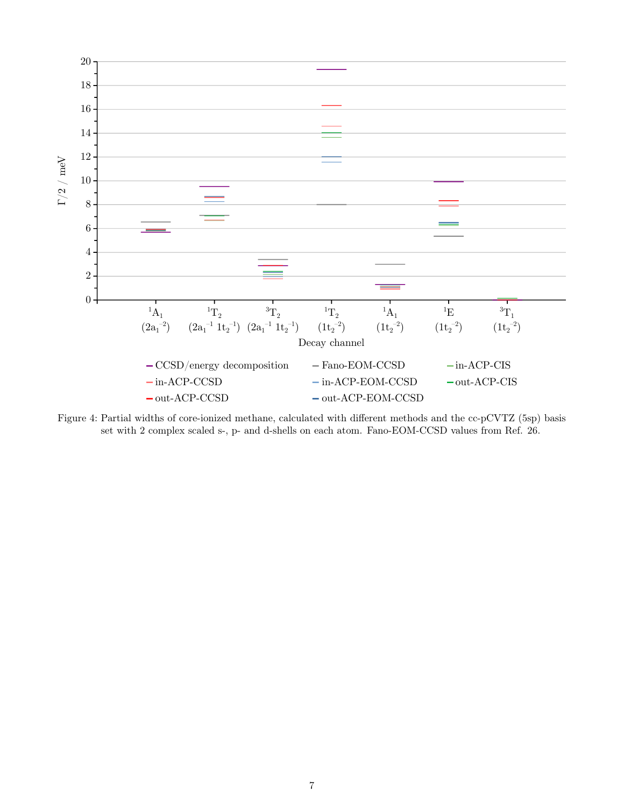

Figure 4: Partial widths of core-ionized methane, calculated with different methods and the cc-pCVTZ (5sp) basis set with 2 complex scaled s-, p- and d-shells on each atom. Fano-EOM-CCSD values from Ref. 26.